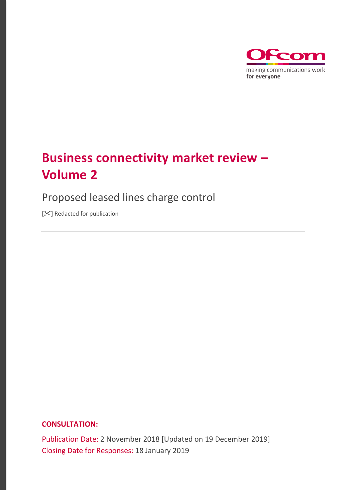

# **Business connectivity market review – Volume 2**

# Proposed leased lines charge control

[ $|X|$  Redacted for publication

## **CONSULTATION:**

Publication Date: 2 November 2018 [Updated on 19 December 2019] Closing Date for Responses: 18 January 2019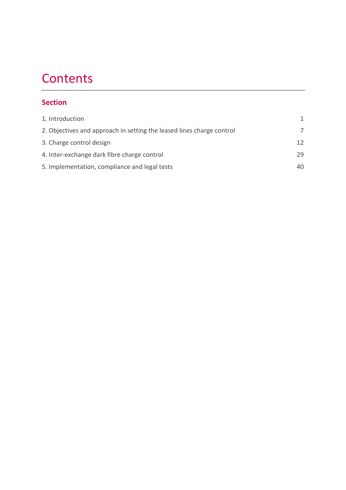# **Contents**

# **Section**

| 1. Introduction                                                       | 1. |
|-----------------------------------------------------------------------|----|
| 2. Objectives and approach in setting the leased lines charge control |    |
| 3. Charge control design                                              | 12 |
| 4. Inter-exchange dark fibre charge control                           | 29 |
| 5. Implementation, compliance and legal tests                         | 40 |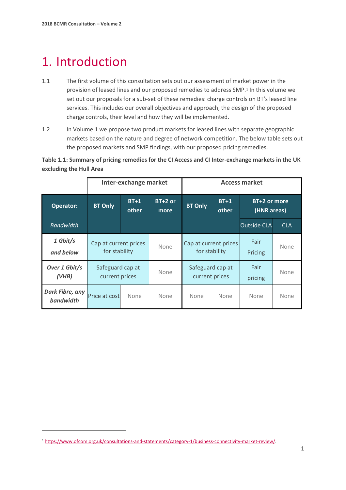# <span id="page-2-0"></span>1. Introduction

 $\overline{a}$ 

- 1.1 The first volume of this consultation sets out our assessment of market power in the provision of leased lines and our proposed remedies to address SMP.[1](#page-2-1) In this volume we set out our proposals for a sub-set of these remedies: charge controls on BT's leased line services. This includes our overall objectives and approach, the design of the proposed charge controls, their level and how they will be implemented.
- 1.2 In Volume 1 we propose two product markets for leased lines with separate geographic markets based on the nature and degree of network competition. The below table sets out the proposed markets and SMP findings, with our proposed pricing remedies.

**Table 1.1: Summary of pricing remedies for the CI Access and CI Inter-exchange markets in the UK excluding the Hull Area**

|                              | Inter-exchange market                  |                 | <b>Access market</b> |                |                                    |                             |            |
|------------------------------|----------------------------------------|-----------------|----------------------|----------------|------------------------------------|-----------------------------|------------|
| Operator:                    | <b>BT Only</b>                         | $BT+1$<br>other | $BT+2$ or<br>more    | <b>BT Only</b> | $BT+1$<br>other                    | BT+2 or more<br>(HNR areas) |            |
| <b>Bandwidth</b>             |                                        |                 |                      |                |                                    | <b>Outside CLA</b>          | <b>CLA</b> |
| 1 Gbit/s<br>and below        | Cap at current prices<br>for stability |                 | None                 | for stability  | Cap at current prices              | Fair<br>Pricing             | None       |
| Over 1 Gbit/s<br>(VHB)       | Safeguard cap at<br>current prices     |                 | None                 |                | Safeguard cap at<br>current prices | Fair<br>pricing             | None       |
| Dark Fibre, any<br>bandwidth | Price at cost                          | None            | None                 | None           | None                               | None                        | None       |

<span id="page-2-1"></span><sup>1</sup> [https://www.ofcom.org.uk/consultations-and-statements/category-1/business-connectivity-market-review/.](https://www.ofcom.org.uk/consultations-and-statements/category-1/business-connectivity-market-review/)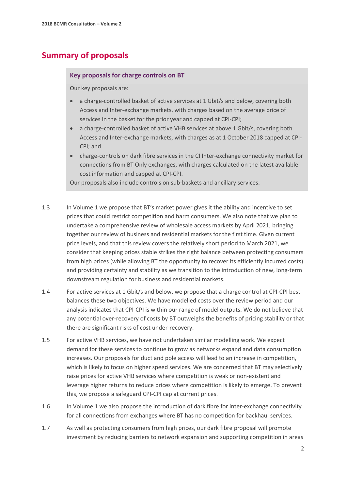# **Summary of proposals**

#### **Key proposals for charge controls on BT**

Our key proposals are:

- a charge-controlled basket of active services at 1 Gbit/s and below, covering both Access and Inter-exchange markets, with charges based on the average price of services in the basket for the prior year and capped at CPI-CPI;
- a charge-controlled basket of active VHB services at above 1 Gbit/s, covering both Access and Inter-exchange markets, with charges as at 1 October 2018 capped at CPI-CPI; and
- charge-controls on dark fibre services in the CI Inter-exchange connectivity market for connections from BT Only exchanges, with charges calculated on the latest available cost information and capped at CPI-CPI.

Our proposals also include controls on sub-baskets and ancillary services.

- 1.3 In Volume 1 we propose that BT's market power gives it the ability and incentive to set prices that could restrict competition and harm consumers. We also note that we plan to undertake a comprehensive review of wholesale access markets by April 2021, bringing together our review of business and residential markets for the first time. Given current price levels, and that this review covers the relatively short period to March 2021, we consider that keeping prices stable strikes the right balance between protecting consumers from high prices (while allowing BT the opportunity to recover its efficiently incurred costs) and providing certainty and stability as we transition to the introduction of new, long-term downstream regulation for business and residential markets.
- 1.4 For active services at 1 Gbit/s and below, we propose that a charge control at CPI-CPI best balances these two objectives. We have modelled costs over the review period and our analysis indicates that CPI-CPI is within our range of model outputs. We do not believe that any potential over-recovery of costs by BT outweighs the benefits of pricing stability or that there are significant risks of cost under-recovery.
- 1.5 For active VHB services, we have not undertaken similar modelling work. We expect demand for these services to continue to grow as networks expand and data consumption increases. Our proposals for duct and pole access will lead to an increase in competition, which is likely to focus on higher speed services. We are concerned that BT may selectively raise prices for active VHB services where competition is weak or non-existent and leverage higher returns to reduce prices where competition is likely to emerge. To prevent this, we propose a safeguard CPI-CPI cap at current prices.
- 1.6 In Volume 1 we also propose the introduction of dark fibre for inter-exchange connectivity for all connections from exchanges where BT has no competition for backhaul services.
- 1.7 As well as protecting consumers from high prices, our dark fibre proposal will promote investment by reducing barriers to network expansion and supporting competition in areas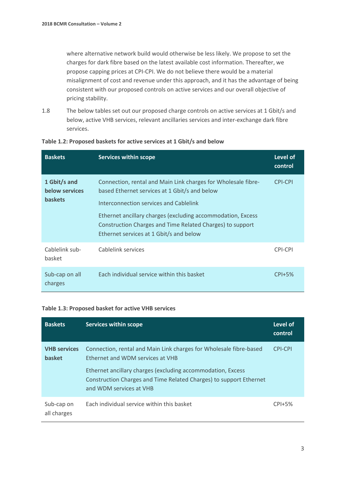where alternative network build would otherwise be less likely. We propose to set the charges for dark fibre based on the latest available cost information. Thereafter, we propose capping prices at CPI-CPI. We do not believe there would be a material misalignment of cost and revenue under this approach, and it has the advantage of being consistent with our proposed controls on active services and our overall objective of pricing stability.

1.8 The below tables set out our proposed charge controls on active services at 1 Gbit/s and below, active VHB services, relevant ancillaries services and inter-exchange dark fibre services.

| <b>Baskets</b>                                   | <b>Services within scope</b>                                                                                                                                                                                                                                                                                                    | <b>Level of</b><br>control |
|--------------------------------------------------|---------------------------------------------------------------------------------------------------------------------------------------------------------------------------------------------------------------------------------------------------------------------------------------------------------------------------------|----------------------------|
| 1 Gbit/s and<br>below services<br><b>baskets</b> | Connection, rental and Main Link charges for Wholesale fibre-<br>based Ethernet services at 1 Gbit/s and below<br>Interconnection services and Cablelink<br>Ethernet ancillary charges (excluding accommodation, Excess<br>Construction Charges and Time Related Charges) to support<br>Ethernet services at 1 Gbit/s and below | <b>CPI-CPI</b>             |
| Cablelink sub-<br>basket                         | Cablelink services                                                                                                                                                                                                                                                                                                              | CPI-CPI                    |
| Sub-cap on all<br>charges                        | Each individual service within this basket                                                                                                                                                                                                                                                                                      | $CPI+5%$                   |

#### **Table 1.2: Proposed baskets for active services at 1 Gbit/s and below**

#### **Table 1.3: Proposed basket for active VHB services**

| <b>Baskets</b>                       | <b>Services within scope</b>                                                                                                                                                                                                                                           | Level of<br>control |
|--------------------------------------|------------------------------------------------------------------------------------------------------------------------------------------------------------------------------------------------------------------------------------------------------------------------|---------------------|
| <b>VHB</b> services<br><b>basket</b> | Connection, rental and Main Link charges for Wholesale fibre-based<br>Ethernet and WDM services at VHB<br>Ethernet ancillary charges (excluding accommodation, Excess<br>Construction Charges and Time Related Charges) to support Ethernet<br>and WDM services at VHB | CPI-CPI             |
| Sub-cap on<br>all charges            | Each individual service within this basket                                                                                                                                                                                                                             | $CPI+5%$            |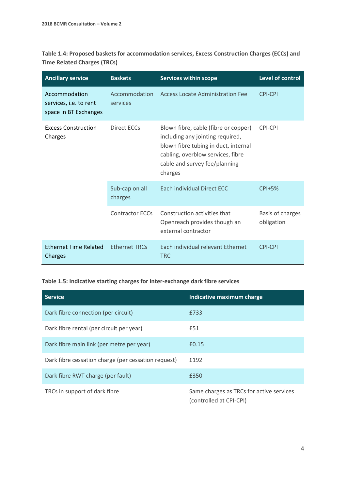**Table 1.4: Proposed baskets for accommodation services, Excess Construction Charges (ECCs) and Time Related Charges (TRCs)**

| <b>Ancillary service</b>                                         | <b>Baskets</b>            | <b>Services within scope</b>                                                                                                                                                                      | Level of control               |
|------------------------------------------------------------------|---------------------------|---------------------------------------------------------------------------------------------------------------------------------------------------------------------------------------------------|--------------------------------|
| Accommodation<br>services, i.e. to rent<br>space in BT Exchanges | Accommodation<br>services | Access Locate Administration Fee                                                                                                                                                                  | <b>CPI-CPI</b>                 |
| <b>Excess Construction</b><br>Charges                            | Direct ECCs               | Blown fibre, cable (fibre or copper)<br>including any jointing required,<br>blown fibre tubing in duct, internal<br>cabling, overblow services, fibre<br>cable and survey fee/planning<br>charges | <b>CPI-CPI</b>                 |
|                                                                  | Sub-cap on all<br>charges | Each individual Direct ECC                                                                                                                                                                        | $CPI+5%$                       |
|                                                                  | <b>Contractor ECCs</b>    | Construction activities that<br>Openreach provides though an<br>external contractor                                                                                                               | Basis of charges<br>obligation |
| <b>Ethernet Time Related</b><br>Charges                          | <b>Ethernet TRCs</b>      | Each individual relevant Ethernet<br><b>TRC</b>                                                                                                                                                   | <b>CPI-CPI</b>                 |

#### **Table 1.5: Indicative starting charges for inter-exchange dark fibre services**

| <b>Service</b>                                      | Indicative maximum charge                                           |
|-----------------------------------------------------|---------------------------------------------------------------------|
| Dark fibre connection (per circuit)                 | £733                                                                |
| Dark fibre rental (per circuit per year)            | £51                                                                 |
| Dark fibre main link (per metre per year)           | £0.15                                                               |
| Dark fibre cessation charge (per cessation request) | £192                                                                |
| Dark fibre RWT charge (per fault)                   | £350                                                                |
| TRCs in support of dark fibre                       | Same charges as TRCs for active services<br>(controlled at CPI-CPI) |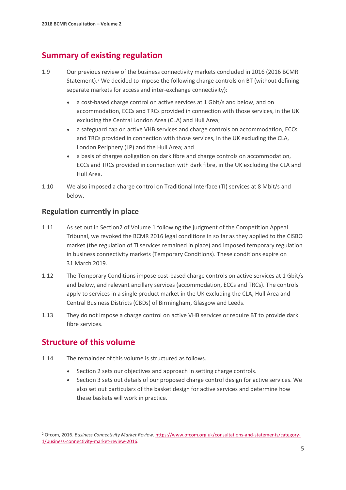# **Summary of existing regulation**

- 1.9 Our previous review of the business connectivity markets concluded in 2016 (2016 BCMR Statement).<sup>[2](#page-6-0)</sup> We decided to impose the following charge controls on BT (without defining separate markets for access and inter-exchange connectivity):
	- a cost-based charge control on active services at 1 Gbit/s and below, and on accommodation, ECCs and TRCs provided in connection with those services, in the UK excluding the Central London Area (CLA) and Hull Area;
	- a safeguard cap on active VHB services and charge controls on accommodation, ECCs and TRCs provided in connection with those services, in the UK excluding the CLA, London Periphery (LP) and the Hull Area; and
	- a basis of charges obligation on dark fibre and charge controls on accommodation, ECCs and TRCs provided in connection with dark fibre, in the UK excluding the CLA and Hull Area.
- 1.10 We also imposed a charge control on Traditional Interface (TI) services at 8 Mbit/s and below.

## **Regulation currently in place**

- 1.11 As set out in Section2 of Volume 1 following the judgment of the Competition Appeal Tribunal, we revoked the BCMR 2016 legal conditions in so far as they applied to the CISBO market (the regulation of TI services remained in place) and imposed temporary regulation in business connectivity markets (Temporary Conditions). These conditions expire on 31 March 2019.
- 1.12 The Temporary Conditions impose cost-based charge controls on active services at 1 Gbit/s and below, and relevant ancillary services (accommodation, ECCs and TRCs). The controls apply to services in a single product market in the UK excluding the CLA, Hull Area and Central Business Districts (CBDs) of Birmingham, Glasgow and Leeds.
- 1.13 They do not impose a charge control on active VHB services or require BT to provide dark fibre services.

# **Structure of this volume**

- 1.14 The remainder of this volume is structured as follows.
	- Section 2 sets our objectives and approach in setting charge controls.
	- Section 3 sets out details of our proposed charge control design for active services. We also set out particulars of the basket design for active services and determine how these baskets will work in practice.

<span id="page-6-0"></span><sup>2</sup> Ofcom, 2016. *Business Connectivity Market Review.* [https://www.ofcom.org.uk/consultations-and-statements/category-](https://www.ofcom.org.uk/consultations-and-statements/category-1/business-connectivity-market-review-2016)[1/business-connectivity-market-review-2016.](https://www.ofcom.org.uk/consultations-and-statements/category-1/business-connectivity-market-review-2016)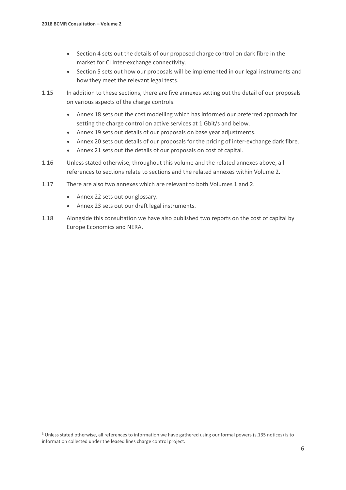- Section 4 sets out the details of our proposed charge control on dark fibre in the market for CI Inter-exchange connectivity.
- Section 5 sets out how our proposals will be implemented in our legal instruments and how they meet the relevant legal tests.
- 1.15 In addition to these sections, there are five annexes setting out the detail of our proposals on various aspects of the charge controls.
	- Annex 18 sets out the cost modelling which has informed our preferred approach for setting the charge control on active services at 1 Gbit/s and below.
	- Annex 19 sets out details of our proposals on base year adjustments.
	- Annex 20 sets out details of our proposals for the pricing of inter-exchange dark fibre.
	- Annex 21 sets out the details of our proposals on cost of capital.
- 1.16 Unless stated otherwise, throughout this volume and the related annexes above, all references to sections relate to sections and the related annexes within Volume 2.[3](#page-7-0)
- 1.17 There are also two annexes which are relevant to both Volumes 1 and 2.
	- Annex 22 sets out our glossary.

- Annex 23 sets out our draft legal instruments.
- 1.18 Alongside this consultation we have also published two reports on the cost of capital by Europe Economics and NERA.

<span id="page-7-0"></span><sup>3</sup> Unless stated otherwise, all references to information we have gathered using our formal powers (s.135 notices) is to information collected under the leased lines charge control project.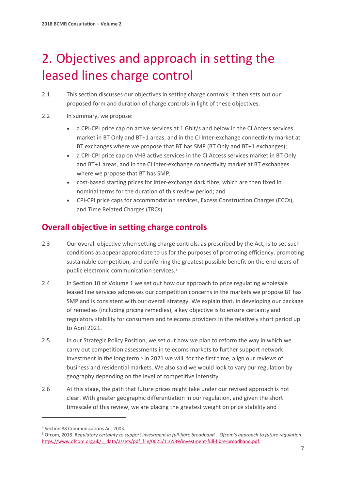# <span id="page-8-0"></span>2. Objectives and approach in setting the leased lines charge control

- 2.1 This section discusses our objectives in setting charge controls. It then sets out our proposed form and duration of charge controls in light of these objectives.
- 2.2 In summary, we propose:
	- a CPI-CPI price cap on active services at 1 Gbit/s and below in the CI Access services market in BT Only and BT+1 areas, and in the CI Inter-exchange connectivity market at BT exchanges where we propose that BT has SMP (BT Only and BT+1 exchanges);
	- a CPI-CPI price cap on VHB active services in the CI Access services market in BT Only and BT+1 areas, and in the CI Inter-exchange connectivity market at BT exchanges where we propose that BT has SMP;
	- cost-based starting prices for inter-exchange dark fibre, which are then fixed in nominal terms for the duration of this review period; and
	- CPI-CPI price caps for accommodation services, Excess Construction Charges (ECCs), and Time Related Charges (TRCs).

# **Overall objective in setting charge controls**

- 2.3 Our overall objective when setting charge controls, as prescribed by the Act, is to set such conditions as appear appropriate to us for the purposes of promoting efficiency, promoting sustainable competition, and conferring the greatest possible benefit on the end-users of public electronic communication services.[4](#page-8-1)
- 2.4 In Section 10 of Volume 1 we set out how our approach to price regulating wholesale leased line services addresses our competition concerns in the markets we propose BT has SMP and is consistent with our overall strategy. We explain that, in developing our package of remedies (including pricing remedies), a key objective is to ensure certainty and regulatory stability for consumers and telecoms providers in the relatively short period up to April 2021.
- 2.5 In our Strategic Policy Position, we set out how we plan to reform the way in which we carry out competition assessments in telecoms markets to further support network investment in the long term.<sup>[5](#page-8-2)</sup> In 2021 we will, for the first time, align our reviews of business and residential markets. We also said we would look to vary our regulation by geography depending on the level of competitive intensity.
- 2.6 At this stage, the path that future prices might take under our revised approach is not clear. With greater geographic differentiation in our regulation, and given the short timescale of this review, we are placing the greatest weight on price stability and

<span id="page-8-1"></span><sup>4</sup> Section 88 Communications Act 2003.

<span id="page-8-2"></span><sup>5</sup> Ofcom, 2018. R*egulatory certainty to support investment in full-fibre broadband – Ofcom's approach to future regulation*. https://www.ofcom.org.uk/ data/assets/pdf\_file/0025/116539/investment-full-fibre-broadband.pdf.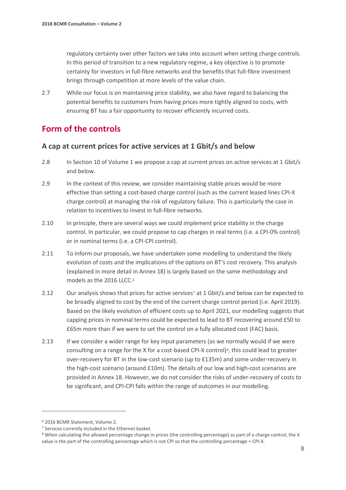regulatory certainty over other factors we take into account when setting charge controls. In this period of transition to a new regulatory regime, a key objective is to promote certainty for investors in full-fibre networks and the benefits that full-fibre investment brings through competition at more levels of the value chain.

2.7 While our focus is on maintaining price stability, we also have regard to balancing the potential benefits to customers from having prices more tightly aligned to costs, with ensuring BT has a fair opportunity to recover efficiently incurred costs.

# **Form of the controls**

## **A cap at current prices for active services at 1 Gbit/s and below**

- 2.8 In Section 10 of Volume 1 we propose a cap at current prices on active services at 1 Gbit/s and below.
- 2.9 In the context of this review, we consider maintaining stable prices would be more effective than setting a cost-based charge control (such as the current leased lines CPI-X charge control) at managing the risk of regulatory failure. This is particularly the case in relation to incentives to invest in full-fibre networks.
- 2.10 In principle, there are several ways we could implement price stability in the charge control. In particular, we could propose to cap charges in real terms (i.e. a CPI-0% control) or in nominal terms (i.e. a CPI-CPI control).
- 2.11 To inform our proposals, we have undertaken some modelling to understand the likely evolution of costs and the implications of the options on BT's cost recovery. This analysis (explained in more detail in Annex 18) is largely based on the same methodology and models as the 201[6](#page-9-0) LLCC.<sup>6</sup>
- 2.12 Our analysis shows that prices for active services<sup>7</sup> at 1 Gbit/s and below can be expected to be broadly aligned to cost by the end of the current charge control period (i.e. April 2019). Based on the likely evolution of efficient costs up to April 2021, our modelling suggests that capping prices in nominal terms could be expected to lead to BT recovering around £50 to £65m more than if we were to set the control on a fully allocated cost (FAC) basis.
- 2.13 If we consider a wider range for key input parameters (as we normally would if we were consulting on a range for the X for a cost-based CPI-X control)<sup>8</sup>, this could lead to greater over-recovery for BT in the low-cost scenario (up to £135m) and some under-recovery in the high-cost scenario (around £10m). The details of our low and high-cost scenarios are provided in Annex 18. However, we do not consider the risks of under-recovery of costs to be significant, and CPI-CPI falls within the range of outcomes in our modelling.

<span id="page-9-1"></span><span id="page-9-0"></span> $6$  2016 BCMR Statement, Volume 2.<br><sup>7</sup> Services currently included in the Ethernet basket.

<span id="page-9-2"></span><sup>8</sup> When calculating the allowed percentage change in prices (the controlling percentage) as part of a charge control, the X value is the part of the controlling percentage which is not CPI so that the controlling percentage = CPI-X.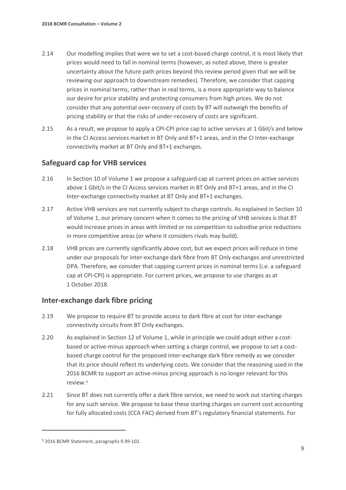- 2.14 Our modelling implies that were we to set a cost-based charge control, it is most likely that prices would need to fall in nominal terms (however, as noted above, there is greater uncertainty about the future path prices beyond this review period given that we will be reviewing our approach to downstream remedies). Therefore, we consider that capping prices in nominal terms, rather than in real terms, is a more appropriate way to balance our desire for price stability and protecting consumers from high prices. We do not consider that any potential over-recovery of costs by BT will outweigh the benefits of pricing stability or that the risks of under-recovery of costs are significant.
- 2.15 As a result, we propose to apply a CPI-CPI price cap to active services at 1 Gbit/s and below in the CI Access services market in BT Only and BT+1 areas, and in the CI Inter-exchange connectivity market at BT Only and BT+1 exchanges.

## **Safeguard cap for VHB services**

- 2.16 In Section 10 of Volume 1 we propose a safeguard cap at current prices on active services above 1 Gbit/s in the CI Access services market in BT Only and BT+1 areas, and in the CI Inter-exchange connectivity market at BT Only and BT+1 exchanges.
- 2.17 Active VHB services are not currently subject to charge controls. As explained in Section 10 of Volume 1, our primary concern when it comes to the pricing of VHB services is that BT would increase prices in areas with limited or no competition to subsidise price reductions in more competitive areas (or where it considers rivals may build).
- 2.18 VHB prices are currently significantly above cost, but we expect prices will reduce in time under our proposals for inter-exchange dark fibre from BT Only exchanges and unrestricted DPA. Therefore, we consider that capping current prices in nominal terms (i.e. a safeguard cap at CPI-CPI) is appropriate. For current prices, we propose to use charges as at 1 October 2018.

### **Inter-exchange dark fibre pricing**

- 2.19 We propose to require BT to provide access to dark fibre at cost for inter-exchange connectivity circuits from BT Only exchanges.
- 2.20 As explained in Section 12 of Volume 1, while in principle we could adopt either a costbased or active-minus approach when setting a charge control, we propose to set a costbased charge control for the proposed inter-exchange dark fibre remedy as we consider that its price should reflect its underlying costs. We consider that the reasoning used in the 2016 BCMR to support an active-minus pricing approach is no longer relevant for this review.[9](#page-10-0)
- 2.21 Since BT does not currently offer a dark fibre service, we need to work out starting charges for any such service. We propose to base these starting charges on current cost accounting for fully allocated costs (CCA FAC) derived from BT's regulatory financial statements. For

<span id="page-10-0"></span><sup>9</sup> 2016 BCMR Statement, paragraphs 9.99-102.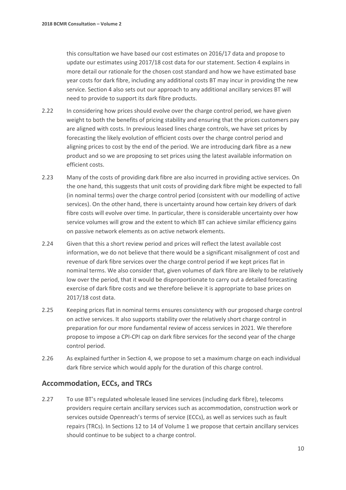this consultation we have based our cost estimates on 2016/17 data and propose to update our estimates using 2017/18 cost data for our statement. Section 4 explains in more detail our rationale for the chosen cost standard and how we have estimated base year costs for dark fibre, including any additional costs BT may incur in providing the new service. Section 4 also sets out our approach to any additional ancillary services BT will need to provide to support its dark fibre products.

- 2.22 In considering how prices should evolve over the charge control period, we have given weight to both the benefits of pricing stability and ensuring that the prices customers pay are aligned with costs. In previous leased lines charge controls, we have set prices by forecasting the likely evolution of efficient costs over the charge control period and aligning prices to cost by the end of the period. We are introducing dark fibre as a new product and so we are proposing to set prices using the latest available information on efficient costs.
- 2.23 Many of the costs of providing dark fibre are also incurred in providing active services. On the one hand, this suggests that unit costs of providing dark fibre might be expected to fall (in nominal terms) over the charge control period (consistent with our modelling of active services). On the other hand, there is uncertainty around how certain key drivers of dark fibre costs will evolve over time. In particular, there is considerable uncertainty over how service volumes will grow and the extent to which BT can achieve similar efficiency gains on passive network elements as on active network elements.
- 2.24 Given that this a short review period and prices will reflect the latest available cost information, we do not believe that there would be a significant misalignment of cost and revenue of dark fibre services over the charge control period if we kept prices flat in nominal terms. We also consider that, given volumes of dark fibre are likely to be relatively low over the period, that it would be disproportionate to carry out a detailed forecasting exercise of dark fibre costs and we therefore believe it is appropriate to base prices on 2017/18 cost data.
- 2.25 Keeping prices flat in nominal terms ensures consistency with our proposed charge control on active services. It also supports stability over the relatively short charge control in preparation for our more fundamental review of access services in 2021. We therefore propose to impose a CPI-CPI cap on dark fibre services for the second year of the charge control period.
- 2.26 As explained further in Section 4, we propose to set a maximum charge on each individual dark fibre service which would apply for the duration of this charge control.

## **Accommodation, ECCs, and TRCs**

2.27 To use BT's regulated wholesale leased line services (including dark fibre), telecoms providers require certain ancillary services such as accommodation, construction work or services outside Openreach's terms of service (ECCs), as well as services such as fault repairs (TRCs). In Sections 12 to 14 of Volume 1 we propose that certain ancillary services should continue to be subject to a charge control.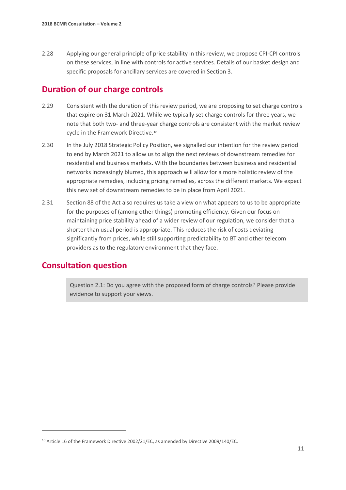2.28 Applying our general principle of price stability in this review, we propose CPI-CPI controls on these services, in line with controls for active services. Details of our basket design and specific proposals for ancillary services are covered in Section 3.

# **Duration of our charge controls**

- 2.29 Consistent with the duration of this review period, we are proposing to set charge controls that expire on 31 March 2021. While we typically set charge controls for three years, we note that both two- and three-year charge controls are consistent with the market review cycle in the Framework Directive.[10](#page-12-0)
- 2.30 In the July 2018 Strategic Policy Position, we signalled our intention for the review period to end by March 2021 to allow us to align the next reviews of downstream remedies for residential and business markets. With the boundaries between business and residential networks increasingly blurred, this approach will allow for a more holistic review of the appropriate remedies, including pricing remedies, across the different markets. We expect this new set of downstream remedies to be in place from April 2021.
- 2.31 Section 88 of the Act also requires us take a view on what appears to us to be appropriate for the purposes of (among other things) promoting efficiency. Given our focus on maintaining price stability ahead of a wider review of our regulation, we consider that a shorter than usual period is appropriate. This reduces the risk of costs deviating significantly from prices, while still supporting predictability to BT and other telecom providers as to the regulatory environment that they face.

# **Consultation question**

 $\overline{a}$ 

Question 2.1: Do you agree with the proposed form of charge controls? Please provide evidence to support your views.

<span id="page-12-0"></span><sup>&</sup>lt;sup>10</sup> Article 16 of the Framework Directive 2002/21/EC, as amended by Directive 2009/140/EC.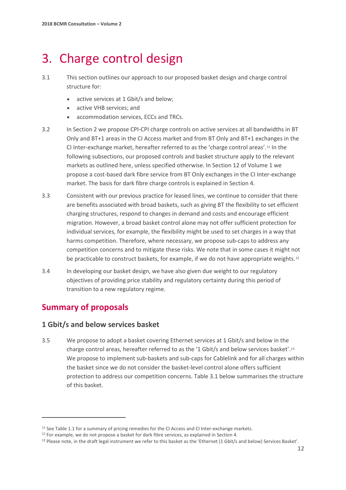# <span id="page-13-0"></span>3. Charge control design

- 3.1 This section outlines our approach to our proposed basket design and charge control structure for:
	- active services at 1 Gbit/s and below;
	- active VHB services; and
	- accommodation services, ECCs and TRCs.
- 3.2 In Section 2 we propose CPI-CPI charge controls on active services at all bandwidths in BT Only and BT+1 areas in the CI Access market and from BT Only and BT+1 exchanges in the CI Inter-exchange market, hereafter referred to as the 'charge control areas'.[11](#page-13-1) In the following subsections, our proposed controls and basket structure apply to the relevant markets as outlined here, unless specified otherwise. In Section 12 of Volume 1 we propose a cost-based dark fibre service from BT Only exchanges in the CI Inter-exchange market. The basis for dark fibre charge controls is explained in Section 4.
- 3.3 Consistent with our previous practice for leased lines, we continue to consider that there are benefits associated with broad baskets, such as giving BT the flexibility to set efficient charging structures, respond to changes in demand and costs and encourage efficient migration. However, a broad basket control alone may not offer sufficient protection for individual services, for example, the flexibility might be used to set charges in a way that harms competition. Therefore, where necessary, we propose sub-caps to address any competition concerns and to mitigate these risks. We note that in some cases it might not be practicable to construct baskets, for example, if we do not have appropriate weights.<sup>[12](#page-13-2)</sup>
- 3.4 In developing our basket design, we have also given due weight to our regulatory objectives of providing price stability and regulatory certainty during this period of transition to a new regulatory regime.

# **Summary of proposals**

 $\overline{a}$ 

## **1 Gbit/s and below services basket**

3.5 We propose to adopt a basket covering Ethernet services at 1 Gbit/s and below in the charge control areas, hereafter referred to as the '1 Gbit/s and below services basket'[.13](#page-13-3) We propose to implement sub-baskets and sub-caps for Cablelink and for all charges within the basket since we do not consider the basket-level control alone offers sufficient protection to address our competition concerns. Table 3.1 below summarises the structure of this basket.

<span id="page-13-1"></span><sup>&</sup>lt;sup>11</sup> See Table 1.1 for a summary of pricing remedies for the CI Access and CI Inter-exchange markets.

<span id="page-13-3"></span><span id="page-13-2"></span><sup>&</sup>lt;sup>12</sup> For example, we do not propose a basket for dark fibre services, as explained in Section 4.<br><sup>13</sup> Please note, in the draft legal instrument we refer to this basket as the 'Ethernet (1 Gbit/s and below) Services Baske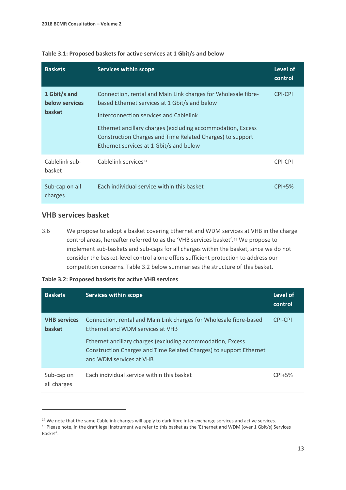| <b>Baskets</b>                                  | <b>Services within scope</b>                                                                                                                                                                                                                                                                                                    | Level of<br>control |
|-------------------------------------------------|---------------------------------------------------------------------------------------------------------------------------------------------------------------------------------------------------------------------------------------------------------------------------------------------------------------------------------|---------------------|
| 1 Gbit/s and<br>below services<br><b>basket</b> | Connection, rental and Main Link charges for Wholesale fibre-<br>based Ethernet services at 1 Gbit/s and below<br>Interconnection services and Cablelink<br>Ethernet ancillary charges (excluding accommodation, Excess<br>Construction Charges and Time Related Charges) to support<br>Ethernet services at 1 Gbit/s and below | <b>CPI-CPI</b>      |
| Cablelink sub-<br>basket                        | Cablelink services <sup>14</sup>                                                                                                                                                                                                                                                                                                | CPI-CPI             |
| Sub-cap on all<br>charges                       | Each individual service within this basket                                                                                                                                                                                                                                                                                      | $CPI+5%$            |

#### **Table 3.1: Proposed baskets for active services at 1 Gbit/s and below**

## **VHB services basket**

 $\overline{a}$ 

3.6 We propose to adopt a basket covering Ethernet and WDM services at VHB in the charge control areas, hereafter referred to as the 'VHB services basket'.[15](#page-14-1) We propose to implement sub-baskets and sub-caps for all charges within the basket, since we do not consider the basket-level control alone offers sufficient protection to address our competition concerns. Table 3.2 below summarises the structure of this basket.

| Table 3.2: Proposed baskets for active VHB services |  |  |  |  |
|-----------------------------------------------------|--|--|--|--|
|-----------------------------------------------------|--|--|--|--|

| <b>Baskets</b>                       | Services within scope                                                                                                                                                                                                                                                  | Level of<br>control |
|--------------------------------------|------------------------------------------------------------------------------------------------------------------------------------------------------------------------------------------------------------------------------------------------------------------------|---------------------|
| <b>VHB</b> services<br><b>basket</b> | Connection, rental and Main Link charges for Wholesale fibre-based<br>Ethernet and WDM services at VHB<br>Ethernet ancillary charges (excluding accommodation, Excess<br>Construction Charges and Time Related Charges) to support Ethernet<br>and WDM services at VHB | CPI-CPI             |
| Sub-cap on<br>all charges            | Each individual service within this basket                                                                                                                                                                                                                             | $CPI+5%$            |

<span id="page-14-0"></span><sup>&</sup>lt;sup>14</sup> We note that the same Cablelink charges will apply to dark fibre inter-exchange services and active services.

<span id="page-14-1"></span><sup>15</sup> Please note, in the draft legal instrument we refer to this basket as the 'Ethernet and WDM (over 1 Gbit/s) Services Basket'.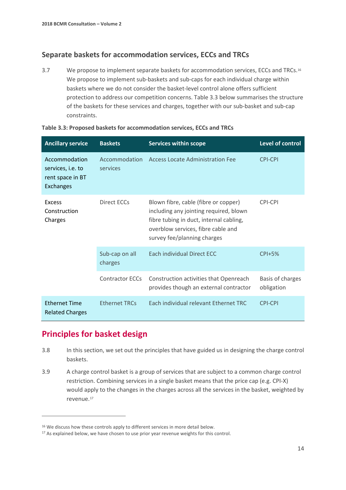## **Separate baskets for accommodation services, ECCs and TRCs**

3.7 We propose to implement separate baskets for accommodation services, ECCs and TRCs.[16](#page-15-0) We propose to implement sub-baskets and sub-caps for each individual charge within baskets where we do not consider the basket-level control alone offers sufficient protection to address our competition concerns. Table 3.3 below summarises the structure of the baskets for these services and charges, together with our sub-basket and sub-cap constraints.

| <b>Ancillary service</b>                                                   | <b>Baskets</b>            | <b>Services within scope</b>                                                                                                                                                                   | Level of control               |
|----------------------------------------------------------------------------|---------------------------|------------------------------------------------------------------------------------------------------------------------------------------------------------------------------------------------|--------------------------------|
| Accommodation<br>services, i.e. to<br>rent space in BT<br><b>Exchanges</b> | Accommodation<br>services | <b>Access Locate Administration Fee</b>                                                                                                                                                        | <b>CPI-CPI</b>                 |
| <b>Excess</b><br>Construction<br>Charges                                   | Direct ECCs               | Blown fibre, cable (fibre or copper)<br>including any jointing required, blown<br>fibre tubing in duct, internal cabling,<br>overblow services, fibre cable and<br>survey fee/planning charges | <b>CPI-CPI</b>                 |
|                                                                            | Sub-cap on all<br>charges | Each individual Direct ECC                                                                                                                                                                     | $CPI+5%$                       |
|                                                                            | <b>Contractor ECCs</b>    | Construction activities that Openreach<br>provides though an external contractor                                                                                                               | Basis of charges<br>obligation |
| <b>Ethernet Time</b><br><b>Related Charges</b>                             | <b>Ethernet TRCs</b>      | Each individual relevant Ethernet TRC                                                                                                                                                          | <b>CPI-CPI</b>                 |

| Table 3.3: Proposed baskets for accommodation services, ECCs and TRCs |  |  |  |  |
|-----------------------------------------------------------------------|--|--|--|--|
|-----------------------------------------------------------------------|--|--|--|--|

# **Principles for basket design**

- 3.8 In this section, we set out the principles that have guided us in designing the charge control baskets.
- 3.9 A charge control basket is a group of services that are subject to a common charge control restriction. Combining services in a single basket means that the price cap (e.g. CPI-X) would apply to the changes in the charges across all the services in the basket, weighted by revenue.[17](#page-15-1)

<span id="page-15-0"></span><sup>&</sup>lt;sup>16</sup> We discuss how these controls apply to different services in more detail below.

<span id="page-15-1"></span><sup>&</sup>lt;sup>17</sup> As explained below, we have chosen to use prior year revenue weights for this control.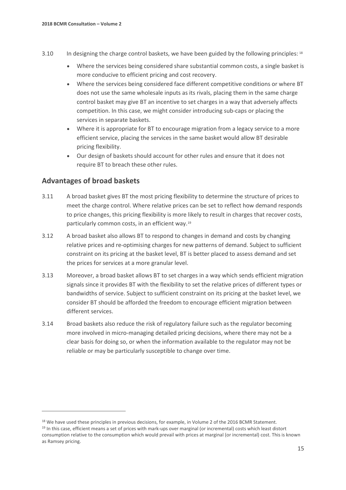- 3.10 In designing the charge control baskets, we have been guided by the following principles: [18](#page-16-0)
	- Where the services being considered share substantial common costs, a single basket is more conducive to efficient pricing and cost recovery.
	- Where the services being considered face different competitive conditions or where BT does not use the same wholesale inputs as its rivals, placing them in the same charge control basket may give BT an incentive to set charges in a way that adversely affects competition. In this case, we might consider introducing sub-caps or placing the services in separate baskets.
	- Where it is appropriate for BT to encourage migration from a legacy service to a more efficient service, placing the services in the same basket would allow BT desirable pricing flexibility.
	- Our design of baskets should account for other rules and ensure that it does not require BT to breach these other rules.

## **Advantages of broad baskets**

- 3.11 A broad basket gives BT the most pricing flexibility to determine the structure of prices to meet the charge control. Where relative prices can be set to reflect how demand responds to price changes, this pricing flexibility is more likely to result in charges that recover costs, particularly common costs, in an efficient way.[19](#page-16-1)
- 3.12 A broad basket also allows BT to respond to changes in demand and costs by changing relative prices and re-optimising charges for new patterns of demand. Subject to sufficient constraint on its pricing at the basket level, BT is better placed to assess demand and set the prices for services at a more granular level.
- 3.13 Moreover, a broad basket allows BT to set charges in a way which sends efficient migration signals since it provides BT with the flexibility to set the relative prices of different types or bandwidths of service. Subject to sufficient constraint on its pricing at the basket level, we consider BT should be afforded the freedom to encourage efficient migration between different services.
- 3.14 Broad baskets also reduce the risk of regulatory failure such as the regulator becoming more involved in micro-managing detailed pricing decisions, where there may not be a clear basis for doing so, or when the information available to the regulator may not be reliable or may be particularly susceptible to change over time.

<span id="page-16-1"></span><span id="page-16-0"></span><sup>&</sup>lt;sup>18</sup> We have used these principles in previous decisions, for example, in Volume 2 of the 2016 BCMR Statement. <sup>19</sup> In this case, efficient means a set of prices with mark-ups over marginal (or incremental) costs which least distort consumption relative to the consumption which would prevail with prices at marginal (or incremental) cost. This is known as Ramsey pricing.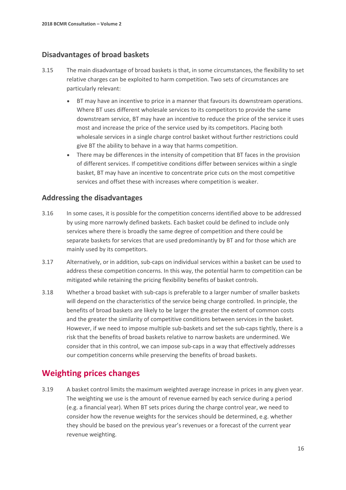## **Disadvantages of broad baskets**

- 3.15 The main disadvantage of broad baskets is that, in some circumstances, the flexibility to set relative charges can be exploited to harm competition. Two sets of circumstances are particularly relevant:
	- BT may have an incentive to price in a manner that favours its downstream operations. Where BT uses different wholesale services to its competitors to provide the same downstream service, BT may have an incentive to reduce the price of the service it uses most and increase the price of the service used by its competitors. Placing both wholesale services in a single charge control basket without further restrictions could give BT the ability to behave in a way that harms competition.
	- There may be differences in the intensity of competition that BT faces in the provision of different services. If competitive conditions differ between services within a single basket, BT may have an incentive to concentrate price cuts on the most competitive services and offset these with increases where competition is weaker.

## **Addressing the disadvantages**

- 3.16 In some cases, it is possible for the competition concerns identified above to be addressed by using more narrowly defined baskets. Each basket could be defined to include only services where there is broadly the same degree of competition and there could be separate baskets for services that are used predominantly by BT and for those which are mainly used by its competitors.
- 3.17 Alternatively, or in addition, sub-caps on individual services within a basket can be used to address these competition concerns. In this way, the potential harm to competition can be mitigated while retaining the pricing flexibility benefits of basket controls.
- 3.18 Whether a broad basket with sub-caps is preferable to a larger number of smaller baskets will depend on the characteristics of the service being charge controlled. In principle, the benefits of broad baskets are likely to be larger the greater the extent of common costs and the greater the similarity of competitive conditions between services in the basket. However, if we need to impose multiple sub-baskets and set the sub-caps tightly, there is a risk that the benefits of broad baskets relative to narrow baskets are undermined. We consider that in this control, we can impose sub-caps in a way that effectively addresses our competition concerns while preserving the benefits of broad baskets.

# **Weighting prices changes**

3.19 A basket control limits the maximum weighted average increase in prices in any given year. The weighting we use is the amount of revenue earned by each service during a period (e.g. a financial year). When BT sets prices during the charge control year, we need to consider how the revenue weights for the services should be determined, e.g. whether they should be based on the previous year's revenues or a forecast of the current year revenue weighting.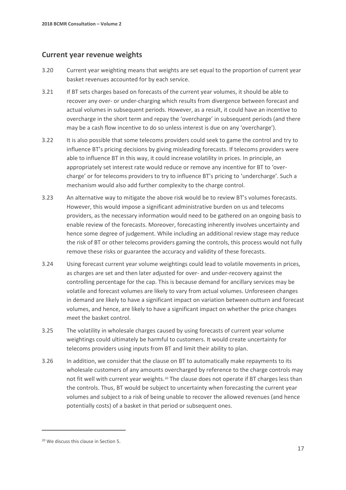## **Current year revenue weights**

- 3.20 Current year weighting means that weights are set equal to the proportion of current year basket revenues accounted for by each service.
- 3.21 If BT sets charges based on forecasts of the current year volumes, it should be able to recover any over- or under-charging which results from divergence between forecast and actual volumes in subsequent periods. However, as a result, it could have an incentive to overcharge in the short term and repay the 'overcharge' in subsequent periods (and there may be a cash flow incentive to do so unless interest is due on any 'overcharge').
- 3.22 It is also possible that some telecoms providers could seek to game the control and try to influence BT's pricing decisions by giving misleading forecasts. If telecoms providers were able to influence BT in this way, it could increase volatility in prices. In principle, an appropriately set interest rate would reduce or remove any incentive for BT to 'overcharge' or for telecoms providers to try to influence BT's pricing to 'undercharge'. Such a mechanism would also add further complexity to the charge control.
- 3.23 An alternative way to mitigate the above risk would be to review BT's volumes forecasts. However, this would impose a significant administrative burden on us and telecoms providers, as the necessary information would need to be gathered on an ongoing basis to enable review of the forecasts. Moreover, forecasting inherently involves uncertainty and hence some degree of judgement. While including an additional review stage may reduce the risk of BT or other telecoms providers gaming the controls, this process would not fully remove these risks or guarantee the accuracy and validity of these forecasts.
- 3.24 Using forecast current year volume weightings could lead to volatile movements in prices, as charges are set and then later adjusted for over- and under-recovery against the controlling percentage for the cap. This is because demand for ancillary services may be volatile and forecast volumes are likely to vary from actual volumes. Unforeseen changes in demand are likely to have a significant impact on variation between outturn and forecast volumes, and hence, are likely to have a significant impact on whether the price changes meet the basket control.
- 3.25 The volatility in wholesale charges caused by using forecasts of current year volume weightings could ultimately be harmful to customers. It would create uncertainty for telecoms providers using inputs from BT and limit their ability to plan.
- 3.26 In addition, we consider that the clause on BT to automatically make repayments to its wholesale customers of any amounts overcharged by reference to the charge controls may not fit well with current year weights.<sup>[20](#page-18-0)</sup> The clause does not operate if BT charges less than the controls. Thus, BT would be subject to uncertainty when forecasting the current year volumes and subject to a risk of being unable to recover the allowed revenues (and hence potentially costs) of a basket in that period or subsequent ones.

<span id="page-18-0"></span><sup>20</sup> We discuss this clause in Section 5.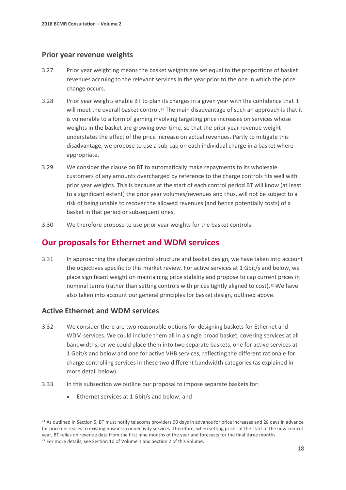### **Prior year revenue weights**

- 3.27 Prior year weighting means the basket weights are set equal to the proportions of basket revenues accruing to the relevant services in the year prior to the one in which the price change occurs.
- 3.28 Prior year weights enable BT to plan its charges in a given year with the confidence that it will meet the overall basket control.<sup>[21](#page-19-0)</sup> The main disadvantage of such an approach is that it is vulnerable to a form of gaming involving targeting price increases on services whose weights in the basket are growing over time, so that the prior year revenue weight understates the effect of the price increase on actual revenues. Partly to mitigate this disadvantage, we propose to use a sub-cap on each individual charge in a basket where appropriate.
- 3.29 We consider the clause on BT to automatically make repayments to its wholesale customers of any amounts overcharged by reference to the charge controls fits well with prior year weights. This is because at the start of each control period BT will know (at least to a significant extent) the prior year volumes/revenues and thus, will not be subject to a risk of being unable to recover the allowed revenues (and hence potentially costs) of a basket in that period or subsequent ones.
- 3.30 We therefore propose to use prior year weights for the basket controls.

# **Our proposals for Ethernet and WDM services**

3.31 In approaching the charge control structure and basket design, we have taken into account the objectives specific to this market review. For active services at 1 Gbit/s and below, we place significant weight on maintaining price stability and propose to cap current prices in nominal terms (rather than setting controls with prices tightly aligned to cost).<sup>[22](#page-19-1)</sup> We have also taken into account our general principles for basket design, outlined above.

## **Active Ethernet and WDM services**

- 3.32 We consider there are two reasonable options for designing baskets for Ethernet and WDM services. We could include them all in a single broad basket, covering services at all bandwidths; or we could place them into two separate baskets, one for active services at 1 Gbit/s and below and one for active VHB services, reflecting the different rationale for charge controlling services in these two different bandwidth categories (as explained in more detail below).
- 3.33 In this subsection we outline our proposal to impose separate baskets for:
	- Ethernet services at 1 Gbit/s and below; and

<span id="page-19-1"></span><span id="page-19-0"></span><sup>&</sup>lt;sup>21</sup> As outlined in Section 5, BT must notify telecoms providers 90 days in advance for price increases and 28 days in advance for price decreases to existing business connectivity services. Therefore, when setting prices at the start of the new control year, BT relies on revenue data from the first nine months of the year and forecasts for the final three months. <sup>22</sup> For more details, see Section 10 of Volume 1 and Section 2 of this volume.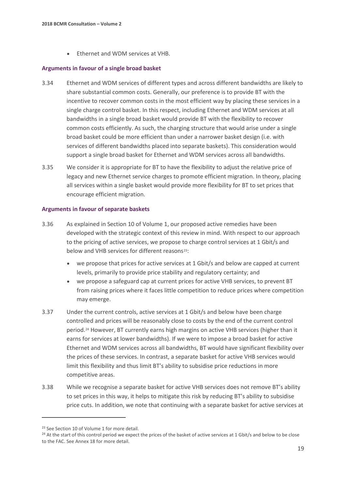• Ethernet and WDM services at VHB.

#### **Arguments in favour of a single broad basket**

- 3.34 Ethernet and WDM services of different types and across different bandwidths are likely to share substantial common costs. Generally, our preference is to provide BT with the incentive to recover common costs in the most efficient way by placing these services in a single charge control basket. In this respect, including Ethernet and WDM services at all bandwidths in a single broad basket would provide BT with the flexibility to recover common costs efficiently. As such, the charging structure that would arise under a single broad basket could be more efficient than under a narrower basket design (i.e. with services of different bandwidths placed into separate baskets). This consideration would support a single broad basket for Ethernet and WDM services across all bandwidths.
- 3.35 We consider it is appropriate for BT to have the flexibility to adjust the relative price of legacy and new Ethernet service charges to promote efficient migration. In theory, placing all services within a single basket would provide more flexibility for BT to set prices that encourage efficient migration.

#### **Arguments in favour of separate baskets**

- 3.36 As explained in Section 10 of Volume 1, our proposed active remedies have been developed with the strategic context of this review in mind. With respect to our approach to the pricing of active services, we propose to charge control services at 1 Gbit/s and below and VHB services for different reasons<sup>23</sup>:
	- we propose that prices for active services at 1 Gbit/s and below are capped at current levels, primarily to provide price stability and regulatory certainty; and
	- we propose a safeguard cap at current prices for active VHB services, to prevent BT from raising prices where it faces little competition to reduce prices where competition may emerge.
- 3.37 Under the current controls, active services at 1 Gbit/s and below have been charge controlled and prices will be reasonably close to costs by the end of the current control period.[24](#page-20-1) However, BT currently earns high margins on active VHB services (higher than it earns for services at lower bandwidths). If we were to impose a broad basket for active Ethernet and WDM services across all bandwidths, BT would have significant flexibility over the prices of these services. In contrast, a separate basket for active VHB services would limit this flexibility and thus limit BT's ability to subsidise price reductions in more competitive areas.
- 3.38 While we recognise a separate basket for active VHB services does not remove BT's ability to set prices in this way, it helps to mitigate this risk by reducing BT's ability to subsidise price cuts. In addition, we note that continuing with a separate basket for active services at

<span id="page-20-0"></span><sup>&</sup>lt;sup>23</sup> See Section 10 of Volume 1 for more detail.

<span id="page-20-1"></span><sup>&</sup>lt;sup>24</sup> At the start of this control period we expect the prices of the basket of active services at 1 Gbit/s and below to be close to the FAC. See Annex 18 for more detail.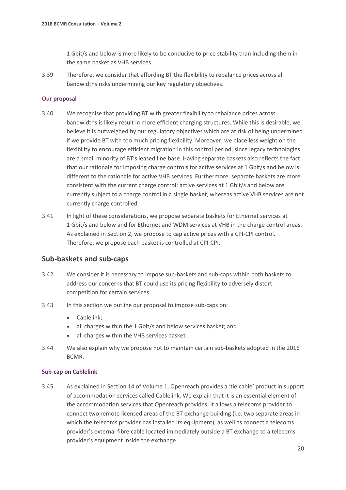1 Gbit/s and below is more likely to be conducive to price stability than including them in the same basket as VHB services.

3.39 Therefore, we consider that affording BT the flexibility to rebalance prices across all bandwidths risks undermining our key regulatory objectives.

#### **Our proposal**

- 3.40 We recognise that providing BT with greater flexibility to rebalance prices across bandwidths is likely result in more efficient charging structures. While this is desirable, we believe it is outweighed by our regulatory objectives which are at risk of being undermined if we provide BT with too much pricing flexibility. Moreover, we place less weight on the flexibility to encourage efficient migration in this control period, since legacy technologies are a small minority of BT's leased line base. Having separate baskets also reflects the fact that our rationale for imposing charge controls for active services at 1 Gbit/s and below is different to the rationale for active VHB services. Furthermore, separate baskets are more consistent with the current charge control; active services at 1 Gbit/s and below are currently subject to a charge control in a single basket, whereas active VHB services are not currently charge controlled.
- 3.41 In light of these considerations, we propose separate baskets for Ethernet services at 1 Gbit/s and below and for Ethernet and WDM services at VHB in the charge control areas. As explained in Section 2, we propose to cap active prices with a CPI-CPI control. Therefore, we propose each basket is controlled at CPI-CPI.

### **Sub-baskets and sub-caps**

- 3.42 We consider it is necessary to impose sub-baskets and sub-caps within both baskets to address our concerns that BT could use its pricing flexibility to adversely distort competition for certain services.
- 3.43 In this section we outline our proposal to impose sub-caps on:
	- Cablelink;
	- all charges within the 1 Gbit/s and below services basket; and
	- all charges within the VHB services basket.
- 3.44 We also explain why we propose not to maintain certain sub-baskets adopted in the 2016 BCMR.

#### **Sub-cap on Cablelink**

3.45 As explained in Section 14 of Volume 1, Openreach provides a 'tie cable' product in support of accommodation services called Cablelink. We explain that it is an essential element of the accommodation services that Openreach provides; it allows a telecoms provider to connect two remote licensed areas of the BT exchange building (i.e. two separate areas in which the telecoms provider has installed its equipment), as well as connect a telecoms provider's external fibre cable located immediately outside a BT exchange to a telecoms provider's equipment inside the exchange.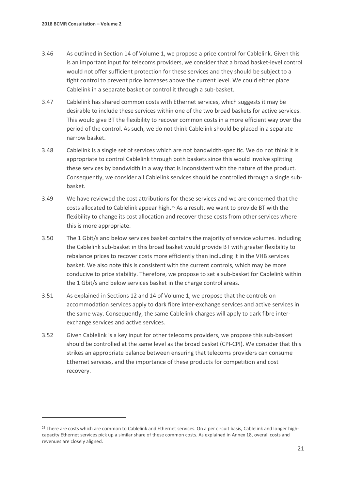- 3.46 As outlined in Section 14 of Volume 1, we propose a price control for Cablelink. Given this is an important input for telecoms providers, we consider that a broad basket-level control would not offer sufficient protection for these services and they should be subject to a tight control to prevent price increases above the current level. We could either place Cablelink in a separate basket or control it through a sub-basket.
- 3.47 Cablelink has shared common costs with Ethernet services, which suggests it may be desirable to include these services within one of the two broad baskets for active services. This would give BT the flexibility to recover common costs in a more efficient way over the period of the control. As such, we do not think Cablelink should be placed in a separate narrow basket.
- 3.48 Cablelink is a single set of services which are not bandwidth-specific. We do not think it is appropriate to control Cablelink through both baskets since this would involve splitting these services by bandwidth in a way that is inconsistent with the nature of the product. Consequently, we consider all Cablelink services should be controlled through a single subbasket.
- 3.49 We have reviewed the cost attributions for these services and we are concerned that the costs allocated to Cablelink appear high.[25](#page-22-0) As a result, we want to provide BT with the flexibility to change its cost allocation and recover these costs from other services where this is more appropriate.
- 3.50 The 1 Gbit/s and below services basket contains the majority of service volumes. Including the Cablelink sub-basket in this broad basket would provide BT with greater flexibility to rebalance prices to recover costs more efficiently than including it in the VHB services basket. We also note this is consistent with the current controls, which may be more conducive to price stability. Therefore, we propose to set a sub-basket for Cablelink within the 1 Gbit/s and below services basket in the charge control areas.
- 3.51 As explained in Sections 12 and 14 of Volume 1, we propose that the controls on accommodation services apply to dark fibre inter-exchange services and active services in the same way. Consequently, the same Cablelink charges will apply to dark fibre interexchange services and active services.
- 3.52 Given Cablelink is a key input for other telecoms providers, we propose this sub-basket should be controlled at the same level as the broad basket (CPI-CPI). We consider that this strikes an appropriate balance between ensuring that telecoms providers can consume Ethernet services, and the importance of these products for competition and cost recovery.

<span id="page-22-0"></span><sup>&</sup>lt;sup>25</sup> There are costs which are common to Cablelink and Ethernet services. On a per circuit basis, Cablelink and longer highcapacity Ethernet services pick up a similar share of these common costs. As explained in Annex 18, overall costs and revenues are closely aligned.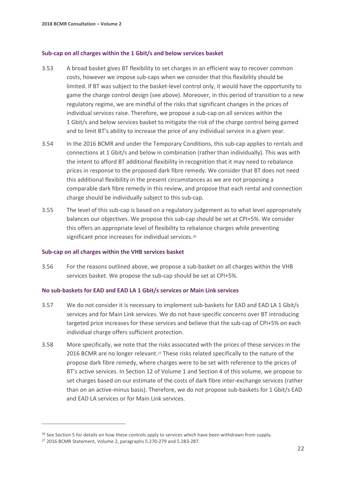#### **Sub-cap on all charges within the 1 Gbit/s and below services basket**

- 3.53 A broad basket gives BT flexibility to set charges in an efficient way to recover common costs, however we impose sub-caps when we consider that this flexibility should be limited. If BT was subject to the basket-level control only, it would have the opportunity to game the charge control design (see above). Moreover, in this period of transition to a new regulatory regime, we are mindful of the risks that significant changes in the prices of individual services raise. Therefore, we propose a sub-cap on all services within the 1 Gbit/s and below services basket to mitigate the risk of the charge control being gamed and to limit BT's ability to increase the price of any individual service in a given year.
- 3.54 In the 2016 BCMR and under the Temporary Conditions, this sub-cap applies to rentals and connections at 1 Gbit/s and below in combination (rather than individually). This was with the intent to afford BT additional flexibility in recognition that it may need to rebalance prices in response to the proposed dark fibre remedy. We consider that BT does not need this additional flexibility in the present circumstances as we are not proposing a comparable dark fibre remedy in this review, and propose that each rental and connection charge should be individually subject to this sub-cap.
- 3.55 The level of this sub-cap is based on a regulatory judgement as to what level appropriately balances our objectives. We propose this sub-cap should be set at CPI+5%. We consider this offers an appropriate level of flexibility to rebalance charges while preventing significant price increases for individual services.<sup>[26](#page-23-0)</sup>

#### **Sub-cap on all charges within the VHB services basket**

3.56 For the reasons outlined above, we propose a sub-basket on all charges within the VHB services basket. We propose the sub-cap should be set at CPI+5%.

#### **No sub-baskets for EAD and EAD LA 1 Gbit/s services or Main Link services**

- 3.57 We do not consider it is necessary to implement sub-baskets for EAD and EAD LA 1 Gbit/s services and for Main Link services. We do not have specific concerns over BT introducing targeted price increases for these services and believe that the sub-cap of CPI+5% on each individual charge offers sufficient protection.
- 3.58 More specifically, we note that the risks associated with the prices of these services in the 2016 BCMR are no longer relevant.[27](#page-23-1) These risks related specifically to the nature of the propose dark fibre remedy, where charges were to be set with reference to the prices of BT's active services. In Section 12 of Volume 1 and Section 4 of this volume, we propose to set charges based on our estimate of the costs of dark fibre inter-exchange services (rather than on an active-minus basis). Therefore, we do not propose sub-baskets for 1 Gbit/s EAD and EAD LA services or for Main Link services.

<span id="page-23-0"></span><sup>&</sup>lt;sup>26</sup> See Section 5 for details on how these controls apply to services which have been withdrawn from supply.<br><sup>27</sup> 2016 BCMR Statement, Volume 2, paragraphs 5.270-279 and 5.283-287.

<span id="page-23-1"></span>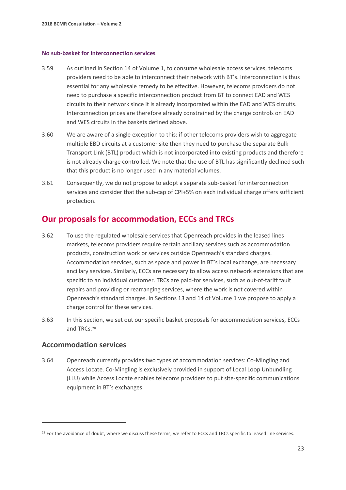#### **No sub-basket for interconnection services**

- 3.59 As outlined in Section 14 of Volume 1, to consume wholesale access services, telecoms providers need to be able to interconnect their network with BT's. Interconnection is thus essential for any wholesale remedy to be effective. However, telecoms providers do not need to purchase a specific interconnection product from BT to connect EAD and WES circuits to their network since it is already incorporated within the EAD and WES circuits. Interconnection prices are therefore already constrained by the charge controls on EAD and WES circuits in the baskets defined above.
- 3.60 We are aware of a single exception to this: if other telecoms providers wish to aggregate multiple EBD circuits at a customer site then they need to purchase the separate Bulk Transport Link (BTL) product which is not incorporated into existing products and therefore is not already charge controlled. We note that the use of BTL has significantly declined such that this product is no longer used in any material volumes.
- 3.61 Consequently, we do not propose to adopt a separate sub-basket for interconnection services and consider that the sub-cap of CPI+5% on each individual charge offers sufficient protection.

## **Our proposals for accommodation, ECCs and TRCs**

- 3.62 To use the regulated wholesale services that Openreach provides in the leased lines markets, telecoms providers require certain ancillary services such as accommodation products, construction work or services outside Openreach's standard charges. Accommodation services, such as space and power in BT's local exchange, are necessary ancillary services. Similarly, ECCs are necessary to allow access network extensions that are specific to an individual customer. TRCs are paid-for services, such as out-of-tariff fault repairs and providing or rearranging services, where the work is not covered within Openreach's standard charges. In Sections 13 and 14 of Volume 1 we propose to apply a charge control for these services.
- 3.63 In this section, we set out our specific basket proposals for accommodation services, ECCs and TRCs.[28](#page-24-0)

### **Accommodation services**

 $\overline{a}$ 

3.64 Openreach currently provides two types of accommodation services: Co-Mingling and Access Locate. Co-Mingling is exclusively provided in support of Local Loop Unbundling (LLU) while Access Locate enables telecoms providers to put site-specific communications equipment in BT's exchanges.

<span id="page-24-0"></span><sup>&</sup>lt;sup>28</sup> For the avoidance of doubt, where we discuss these terms, we refer to ECCs and TRCs specific to leased line services.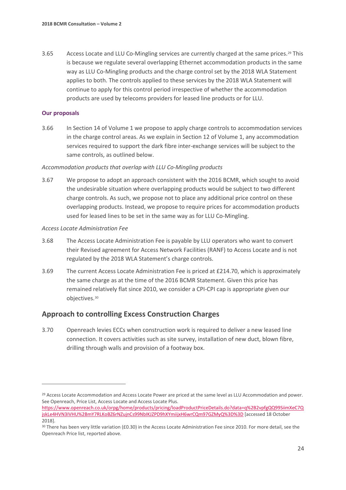3.65 Access Locate and LLU Co-Mingling services are currently charged at the same prices.<sup>[29](#page-25-0)</sup> This is because we regulate several overlapping Ethernet accommodation products in the same way as LLU Co-Mingling products and the charge control set by the 2018 WLA Statement applies to both. The controls applied to these services by the 2018 WLA Statement will continue to apply for this control period irrespective of whether the accommodation products are used by telecoms providers for leased line products or for LLU.

#### **Our proposals**

 $\overline{a}$ 

3.66 In Section 14 of Volume 1 we propose to apply charge controls to accommodation services in the charge control areas. As we explain in Section 12 of Volume 1, any accommodation services required to support the dark fibre inter-exchange services will be subject to the same controls, as outlined below.

#### *Accommodation products that overlap with LLU Co-Mingling products*

3.67 We propose to adopt an approach consistent with the 2016 BCMR, which sought to avoid the undesirable situation where overlapping products would be subject to two different charge controls. As such, we propose not to place any additional price control on these overlapping products. Instead, we propose to require prices for accommodation products used for leased lines to be set in the same way as for LLU Co-Mingling.

#### *Access Locate Administration Fee*

- 3.68 The Access Locate Administration Fee is payable by LLU operators who want to convert their Revised agreement for Access Network Facilities (RANF) to Access Locate and is not regulated by the 2018 WLA Statement's charge controls.
- 3.69 The current Access Locate Administration Fee is priced at £214.70, which is approximately the same charge as at the time of the 2016 BCMR Statement. Given this price has remained relatively flat since 2010, we consider a CPI-CPI cap is appropriate given our objectives.[30](#page-25-1)

### **Approach to controlling Excess Construction Charges**

3.70 Openreach levies ECCs when construction work is required to deliver a new leased line connection. It covers activities such as site survey, installation of new duct, blown fibre, drilling through walls and provision of a footway box.

<span id="page-25-0"></span><sup>&</sup>lt;sup>29</sup> Access Locate Accommodation and Access Locate Power are priced at the same level as LLU Accommodation and power. See Openreach, Price List, Access Locate and Access Locate Plus.

[https://www.openreach.co.uk/orpg/home/products/pricing/loadProductPriceDetails.do?data=q%2B2vpfgQQ99SiimXeC7Q](https://www.openreach.co.uk/orpg/home/products/pricing/loadProductPriceDetails.do?data=q%2B2vpfgQQ99SiimXeC7QjskLe4HVN3IVHU%2BmY7RLKoBZ6rNZujnCs99NbIKJZPD9hXYmiijxH6wrCQm97GZMyQ%3D%3D) [jskLe4HVN3IVHU%2BmY7RLKoBZ6rNZujnCs99NbIKJZPD9hXYmiijxH6wrCQm97GZMyQ%3D%3D](https://www.openreach.co.uk/orpg/home/products/pricing/loadProductPriceDetails.do?data=q%2B2vpfgQQ99SiimXeC7QjskLe4HVN3IVHU%2BmY7RLKoBZ6rNZujnCs99NbIKJZPD9hXYmiijxH6wrCQm97GZMyQ%3D%3D) [accessed 18 October 2018].

<span id="page-25-1"></span><sup>30</sup> There has been very little variation (£0.30) in the Access Locate Administration Fee since 2010. For more detail, see the Openreach Price list, reported above.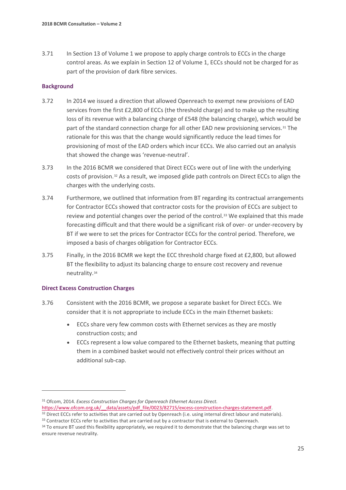3.71 In Section 13 of Volume 1 we propose to apply charge controls to ECCs in the charge control areas. As we explain in Section 12 of Volume 1, ECCs should not be charged for as part of the provision of dark fibre services.

#### **Background**

- 3.72 In 2014 we issued a direction that allowed Openreach to exempt new provisions of EAD services from the first £2,800 of ECCs (the threshold charge) and to make up the resulting loss of its revenue with a balancing charge of £548 (the balancing charge), which would be part of the standard connection charge for all other EAD new provisioning services.<sup>[31](#page-26-0)</sup> The rationale for this was that the change would significantly reduce the lead times for provisioning of most of the EAD orders which incur ECCs. We also carried out an analysis that showed the change was 'revenue-neutral'.
- 3.73 In the 2016 BCMR we considered that Direct ECCs were out of line with the underlying costs of provision.[32](#page-26-1) As a result, we imposed glide path controls on Direct ECCs to align the charges with the underlying costs.
- 3.74 Furthermore, we outlined that information from BT regarding its contractual arrangements for Contractor ECCs showed that contractor costs for the provision of ECCs are subject to review and potential changes over the period of the control.<sup>33</sup> We explained that this made forecasting difficult and that there would be a significant risk of over- or under-recovery by BT if we were to set the prices for Contractor ECCs for the control period. Therefore, we imposed a basis of charges obligation for Contractor ECCs.
- 3.75 Finally, in the 2016 BCMR we kept the ECC threshold charge fixed at £2,800, but allowed BT the flexibility to adjust its balancing charge to ensure cost recovery and revenue neutrality[.34](#page-26-3)

#### **Direct Excess Construction Charges**

 $\overline{a}$ 

- 3.76 Consistent with the 2016 BCMR, we propose a separate basket for Direct ECCs. We consider that it is not appropriate to include ECCs in the main Ethernet baskets:
	- ECCs share very few common costs with Ethernet services as they are mostly construction costs; and
	- ECCs represent a low value compared to the Ethernet baskets, meaning that putting them in a combined basket would not effectively control their prices without an additional sub-cap.

<span id="page-26-1"></span><sup>32</sup> Direct ECCs refer to activities that are carried out by Openreach (i.e. using internal direct labour and materials).

<span id="page-26-0"></span><sup>31</sup> Ofcom, 2014. *Excess Construction Charges for Openreach Ethernet Access Direct.*

https://www.ofcom.org.uk/ data/assets/pdf\_file/0023/82715/excess-construction-charges-statement.pdf.

<span id="page-26-2"></span><sup>33</sup> Contractor ECCs refer to activities that are carried out by a contractor that is external to Openreach.

<span id="page-26-3"></span><sup>34</sup> To ensure BT used this flexibility appropriately, we required it to demonstrate that the balancing charge was set to ensure revenue neutrality.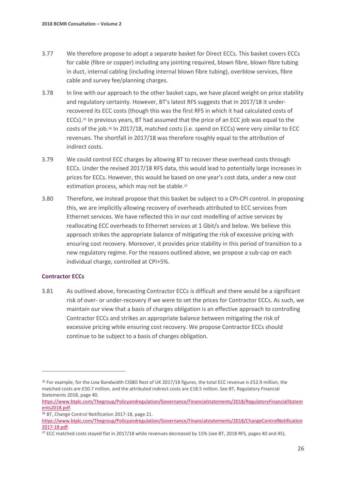- 3.77 We therefore propose to adopt a separate basket for Direct ECCs. This basket covers ECCs for cable (fibre or copper) including any jointing required, blown fibre, blown fibre tubing in duct, internal cabling (including internal blown fibre tubing), overblow services, fibre cable and survey fee/planning charges.
- 3.78 In line with our approach to the other basket caps, we have placed weight on price stability and regulatory certainty. However, BT's latest RFS suggests that in 2017/18 it underrecovered its ECC costs (though this was the first RFS in which it had calculated costs of ECCs).[35](#page-27-0) In previous years, BT had assumed that the price of an ECC job was equal to the costs of the job[.36](#page-27-1) In 2017/18, matched costs (i.e. spend on ECCs) were very similar to ECC revenues. The shortfall in 2017/18 was therefore roughly equal to the attribution of indirect costs.
- 3.79 We could control ECC charges by allowing BT to recover these overhead costs through ECCs. Under the revised 2017/18 RFS data, this would lead to potentially large increases in prices for ECCs. However, this would be based on one year's cost data, under a new cost estimation process, which may not be stable.[37](#page-27-2)
- 3.80 Therefore, we instead propose that this basket be subject to a CPI-CPI control. In proposing this, we are implicitly allowing recovery of overheads attributed to ECC services from Ethernet services. We have reflected this in our cost modelling of active services by reallocating ECC overheads to Ethernet services at 1 Gbit/s and below. We believe this approach strikes the appropriate balance of mitigating the risk of excessive pricing with ensuring cost recovery. Moreover, it provides price stability in this period of transition to a new regulatory regime. For the reasons outlined above, we propose a sub-cap on each individual charge, controlled at CPI+5%.

#### **Contractor ECCs**

 $\overline{a}$ 

3.81 As outlined above, forecasting Contractor ECCs is difficult and there would be a significant risk of over- or under-recovery if we were to set the prices for Contractor ECCs. As such, we maintain our view that a basis of charges obligation is an effective approach to controlling Contractor ECCs and strikes an appropriate balance between mitigating the risk of excessive pricing while ensuring cost recovery. We propose Contractor ECCs should continue to be subject to a basis of charges obligation.

<span id="page-27-0"></span><sup>35</sup> For example, for the Low Bandwidth CISBO Rest of UK 2017/18 figures, the total ECC revenue is £52.9 million, the matched costs are £50.7 million, and the attributed indirect costs are £18.5 million. See BT, Regulatory Financial Statements 2018, page 40.

[https://www.btplc.com/Thegroup/Policyandregulation/Governance/Financialstatements/2018/RegulatoryFinancialStatem](https://www.btplc.com/Thegroup/Policyandregulation/Governance/Financialstatements/2018/RegulatoryFinancialStatements2018.pdf) [ents2018.pdf.](https://www.btplc.com/Thegroup/Policyandregulation/Governance/Financialstatements/2018/RegulatoryFinancialStatements2018.pdf)

<span id="page-27-1"></span><sup>36</sup> BT, Change Control Notification 2017-18, page 21.

[https://www.btplc.com/Thegroup/Policyandregulation/Governance/Financialstatements/2018/ChangeControlNotification](https://www.btplc.com/Thegroup/Policyandregulation/Governance/Financialstatements/2018/ChangeControlNotification2017-18.pdf) [2017-18.pdf.](https://www.btplc.com/Thegroup/Policyandregulation/Governance/Financialstatements/2018/ChangeControlNotification2017-18.pdf)

<span id="page-27-2"></span><sup>&</sup>lt;sup>37</sup> ECC matched costs stayed flat in 2017/18 while revenues decreased by 15% (see BT, 2018 RFS, pages 40 and 45).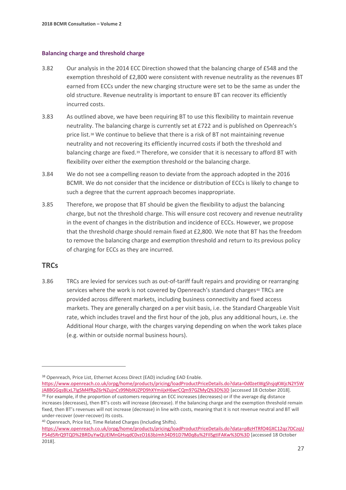#### **Balancing charge and threshold charge**

- 3.82 Our analysis in the 2014 ECC Direction showed that the balancing charge of £548 and the exemption threshold of £2,800 were consistent with revenue neutrality as the revenues BT earned from ECCs under the new charging structure were set to be the same as under the old structure. Revenue neutrality is important to ensure BT can recover its efficiently incurred costs.
- 3.83 As outlined above, we have been requiring BT to use this flexibility to maintain revenue neutrality. The balancing charge is currently set at £722 and is published on Openreach's price list.<sup>[38](#page-28-0)</sup> We continue to believe that there is a risk of BT not maintaining revenue neutrality and not recovering its efficiently incurred costs if both the threshold and balancing charge are fixed.<sup>[39](#page-28-1)</sup> Therefore, we consider that it is necessary to afford BT with flexibility over either the exemption threshold or the balancing charge.
- 3.84 We do not see a compelling reason to deviate from the approach adopted in the 2016 BCMR. We do not consider that the incidence or distribution of ECCs is likely to change to such a degree that the current approach becomes inappropriate.
- 3.85 Therefore, we propose that BT should be given the flexibility to adjust the balancing charge, but not the threshold charge. This will ensure cost recovery and revenue neutrality in the event of changes in the distribution and incidence of ECCs. However, we propose that the threshold charge should remain fixed at £2,800. We note that BT has the freedom to remove the balancing charge and exemption threshold and return to its previous policy of charging for ECCs as they are incurred.

## **TRCs**

 $\overline{a}$ 

3.86 TRCs are levied for services such as out-of-tariff fault repairs and providing or rearranging services where the work is not covered by Openreach's standard charges<sup>[40](#page-28-2)</sup> TRCs are provided across different markets, including business connectivity and fixed access markets. They are generally charged on a per visit basis, i.e. the Standard Chargeable Visit rate, which includes travel and the first hour of the job, plus any additional hours, i.e. the Additional Hour charge, with the charges varying depending on when the work takes place (e.g. within or outside normal business hours).

<span id="page-28-0"></span><sup>38</sup> Openreach, Price List, Ethernet Access Direct (EAD) including EAD Enable.

[https://www.openreach.co.uk/orpg/home/products/pricing/loadProductPriceDetails.do?data=0d0zetWgShsjqKWjcN2Y5W](https://www.openreach.co.uk/orpg/home/products/pricing/loadProductPriceDetails.do?data=0d0zetWgShsjqKWjcN2Y5WJA8BGGqsBLxL7IgSM4fRpZ6rNZujnCs99NbIKJZPD9hXYmiijxH6wrCQm97GZMyQ%3D%3D) [JA8BGGqsBLxL7IgSM4fRpZ6rNZujnCs99NbIKJZPD9hXYmiijxH6wrCQm97GZMyQ%3D%3D](https://www.openreach.co.uk/orpg/home/products/pricing/loadProductPriceDetails.do?data=0d0zetWgShsjqKWjcN2Y5WJA8BGGqsBLxL7IgSM4fRpZ6rNZujnCs99NbIKJZPD9hXYmiijxH6wrCQm97GZMyQ%3D%3D) [accessed 18 October 2018].

<span id="page-28-1"></span><sup>&</sup>lt;sup>39</sup> For example, if the proportion of customers requiring an ECC increases (decreases) or if the average dig distance increases (decreases), then BT's costs will increase (decrease). If the balancing charge and the exemption threshold remain fixed, then BT's revenues will not increase (decrease) in line with costs, meaning that it is not revenue neutral and BT will under-recover (over-recover) its costs.

<span id="page-28-2"></span><sup>40</sup> Openreach, Price list, Time Related Charges (Including Shifts).

[https://www.openreach.co.uk/orpg/home/products/pricing/loadProductPriceDetails.do?data=pBzHTRfO4GXC12qz7DCzqU](https://www.openreach.co.uk/orpg/home/products/pricing/loadProductPriceDetails.do?data=pBzHTRfO4GXC12qz7DCzqUP54d5RrQ9TQD%2BRDuYwQUElMnGHsqdC0vzO163bJmh34D91D7M0q8u%2FIlSgtIFAKw%3D%3D) [P54d5RrQ9TQD%2BRDuYwQUElMnGHsqdC0vzO163bJmh34D91D7M0q8u%2FIlSgtIFAKw%3D%3D](https://www.openreach.co.uk/orpg/home/products/pricing/loadProductPriceDetails.do?data=pBzHTRfO4GXC12qz7DCzqUP54d5RrQ9TQD%2BRDuYwQUElMnGHsqdC0vzO163bJmh34D91D7M0q8u%2FIlSgtIFAKw%3D%3D) [accessed 18 October 2018].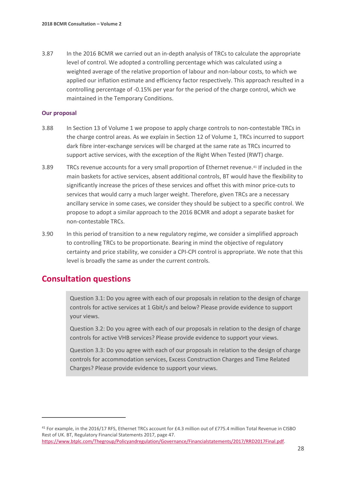3.87 In the 2016 BCMR we carried out an in-depth analysis of TRCs to calculate the appropriate level of control. We adopted a controlling percentage which was calculated using a weighted average of the relative proportion of labour and non-labour costs, to which we applied our inflation estimate and efficiency factor respectively. This approach resulted in a controlling percentage of -0.15% per year for the period of the charge control, which we maintained in the Temporary Conditions.

#### **Our proposal**

- 3.88 In Section 13 of Volume 1 we propose to apply charge controls to non-contestable TRCs in the charge control areas. As we explain in Section 12 of Volume 1, TRCs incurred to support dark fibre inter-exchange services will be charged at the same rate as TRCs incurred to support active services, with the exception of the Right When Tested (RWT) charge.
- 3.89 TRCs revenue accounts for a very small proportion of Ethernet revenue.[41](#page-29-0) If included in the main baskets for active services, absent additional controls, BT would have the flexibility to significantly increase the prices of these services and offset this with minor price-cuts to services that would carry a much larger weight. Therefore, given TRCs are a necessary ancillary service in some cases, we consider they should be subject to a specific control. We propose to adopt a similar approach to the 2016 BCMR and adopt a separate basket for non-contestable TRCs.
- 3.90 In this period of transition to a new regulatory regime, we consider a simplified approach to controlling TRCs to be proportionate. Bearing in mind the objective of regulatory certainty and price stability, we consider a CPI-CPI control is appropriate. We note that this level is broadly the same as under the current controls.

# **Consultation questions**

 $\overline{a}$ 

Question 3.1: Do you agree with each of our proposals in relation to the design of charge controls for active services at 1 Gbit/s and below? Please provide evidence to support your views.

Question 3.2: Do you agree with each of our proposals in relation to the design of charge controls for active VHB services? Please provide evidence to support your views.

Question 3.3: Do you agree with each of our proposals in relation to the design of charge controls for accommodation services, Excess Construction Charges and Time Related Charges? Please provide evidence to support your views.

<span id="page-29-0"></span><sup>41</sup> For example, in the 2016/17 RFS, Ethernet TRCs account for £4.3 million out of £775.4 million Total Revenue in CISBO Rest of UK. BT, Regulatory Financial Statements 2017, page 47. [https://www.btplc.com/Thegroup/Policyandregulation/Governance/Financialstatements/2017/RRD2017Final.pdf.](https://www.btplc.com/Thegroup/Policyandregulation/Governance/Financialstatements/2017/RRD2017Final.pdf)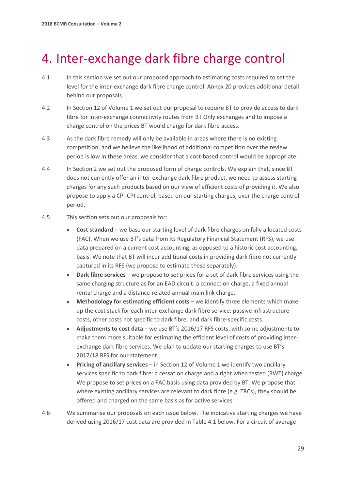# <span id="page-30-0"></span>4. Inter-exchange dark fibre charge control

- 4.1 In this section we set out our proposed approach to estimating costs required to set the level for the inter-exchange dark fibre charge control. Annex 20 provides additional detail behind our proposals.
- 4.2 In Section 12 of Volume 1 we set out our proposal to require BT to provide access to dark fibre for inter-exchange connectivity routes from BT Only exchanges and to impose a charge control on the prices BT would charge for dark fibre access.
- 4.3 As the dark fibre remedy will only be available in areas where there is no existing competition, and we believe the likelihood of additional competition over the review period is low in these areas, we consider that a cost-based control would be appropriate.
- 4.4 In Section 2 we set out the proposed form of charge controls. We explain that, since BT does not currently offer an inter-exchange dark fibre product, we need to assess starting charges for any such products based on our view of efficient costs of providing it. We also propose to apply a CPI-CPI control, based on our starting charges, over the charge control period.
- 4.5 This section sets out our proposals for:
	- **Cost standard** we base our starting level of dark fibre charges on fully allocated costs (FAC). When we use BT's data from its Regulatory Financial Statement (RFS), we use data prepared on a current cost accounting, as opposed to a historic cost accounting, basis. We note that BT will incur additional costs in providing dark fibre not currently captured in its RFS (we propose to estimate these separately).
	- **Dark fibre services**  we propose to set prices for a set of dark fibre services using the same charging structure as for an EAD circuit: a connection charge, a fixed annual rental charge and a distance-related annual main link charge.
	- **Methodology for estimating efficient costs** we identify three elements which make up the cost stack for each inter-exchange dark fibre service: passive infrastructure costs, other costs not specific to dark fibre, and dark fibre-specific costs.
	- **Adjustments to cost data** we use BT's 2016/17 RFS costs, with some adjustments to make them more suitable for estimating the efficient level of costs of providing interexchange dark fibre services. We plan to update our starting charges to use BT's 2017/18 RFS for our statement.
	- **Pricing of ancillary services** in Section 12 of Volume 1 we identify two ancillary services specific to dark fibre: a cessation charge and a right when tested (RWT) charge. We propose to set prices on a FAC basis using data provided by BT. We propose that where existing ancillary services are relevant to dark fibre (e.g. TRCs), they should be offered and charged on the same basis as for active services.
- 4.6 We summarise our proposals on each issue below. The indicative starting charges we have derived using 2016/17 cost data are provided in Table 4.1 below. For a circuit of average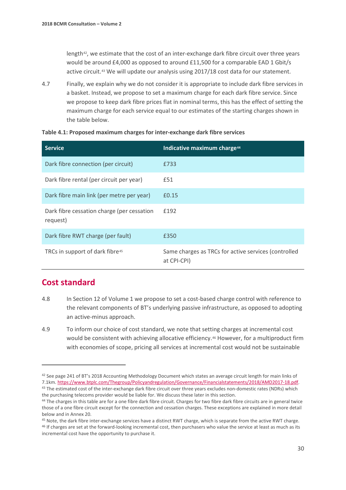length<sup>42</sup>, we estimate that the cost of an inter-exchange dark fibre circuit over three years would be around £4,000 as opposed to around £11,500 for a comparable EAD 1 Gbit/s active circuit.[43](#page-31-1) We will update our analysis using 2017/18 cost data for our statement.

4.7 Finally, we explain why we do not consider it is appropriate to include dark fibre services in a basket. Instead, we propose to set a maximum charge for each dark fibre service. Since we propose to keep dark fibre prices flat in nominal terms, this has the effect of setting the maximum charge for each service equal to our estimates of the starting charges shown in the table below.

| <b>Service</b>                                         | Indicative maximum charge <sup>44</sup>                             |
|--------------------------------------------------------|---------------------------------------------------------------------|
| Dark fibre connection (per circuit)                    | £733                                                                |
| Dark fibre rental (per circuit per year)               | £51                                                                 |
| Dark fibre main link (per metre per year)              | £0.15                                                               |
| Dark fibre cessation charge (per cessation<br>request) | £192                                                                |
| Dark fibre RWT charge (per fault)                      | £350                                                                |
| TRCs in support of dark fibre <sup>45</sup>            | Same charges as TRCs for active services (controlled<br>at CPI-CPI) |

#### **Table 4.1: Proposed maximum charges for inter-exchange dark fibre services**

# **Cost standard**

- 4.8 In Section 12 of Volume 1 we propose to set a cost-based charge control with reference to the relevant components of BT's underlying passive infrastructure, as opposed to adopting an active-minus approach.
- 4.9 To inform our choice of cost standard, we note that setting charges at incremental cost would be consistent with achieving allocative efficiency.<sup>[46](#page-31-4)</sup> However, for a multiproduct firm with economies of scope, pricing all services at incremental cost would not be sustainable

<span id="page-31-0"></span><sup>42</sup> See page 241 of BT's 2018 Accounting Methodology Document which states an average circuit length for main links of 7.1km. [https://www.btplc.com/Thegroup/Policyandregulation/Governance/Financialstatements/2018/AMD2017-18.pdf.](https://www.btplc.com/Thegroup/Policyandregulation/Governance/Financialstatements/2018/AMD2017-18.pdf)<br><sup>43</sup> The estimated cost of the inter-exchange dark fibre circuit over three years excludes non-domestic rates (N

<span id="page-31-1"></span>the purchasing telecoms provider would be liable for. We discuss these later in this section.

<span id="page-31-2"></span><sup>44</sup> The charges in this table are for a one fibre dark fibre circuit. Charges for two fibre dark fibre circuits are in general twice those of a one fibre circuit except for the connection and cessation charges. These exceptions are explained in more detail

<span id="page-31-3"></span>below and in Annex 20.<br><sup>45</sup> Note, the dark fibre inter-exchange services have a distinct RWT charge, which is separate from the active RWT charge.

<span id="page-31-4"></span><sup>46</sup> If charges are set at the forward-looking incremental cost, then purchasers who value the service at least as much as its incremental cost have the opportunity to purchase it.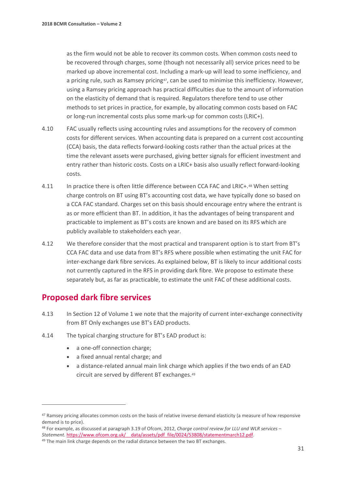as the firm would not be able to recover its common costs. When common costs need to be recovered through charges, some (though not necessarily all) service prices need to be marked up above incremental cost. Including a mark-up will lead to some inefficiency, and a pricing rule, such as Ramsey pricing<sup>[47](#page-32-0)</sup>, can be used to minimise this inefficiency. However, using a Ramsey pricing approach has practical difficulties due to the amount of information on the elasticity of demand that is required. Regulators therefore tend to use other methods to set prices in practice, for example, by allocating common costs based on FAC or long-run incremental costs plus some mark-up for common costs (LRIC+).

- 4.10 FAC usually reflects using accounting rules and assumptions for the recovery of common costs for different services. When accounting data is prepared on a current cost accounting (CCA) basis, the data reflects forward-looking costs rather than the actual prices at the time the relevant assets were purchased, giving better signals for efficient investment and entry rather than historic costs. Costs on a LRIC+ basis also usually reflect forward-looking costs.
- 4.11 In practice there is often little difference between CCA FAC and LRIC+.[48](#page-32-1) When setting charge controls on BT using BT's accounting cost data, we have typically done so based on a CCA FAC standard. Charges set on this basis should encourage entry where the entrant is as or more efficient than BT. In addition, it has the advantages of being transparent and practicable to implement as BT's costs are known and are based on its RFS which are publicly available to stakeholders each year.
- 4.12 We therefore consider that the most practical and transparent option is to start from BT's CCA FAC data and use data from BT's RFS where possible when estimating the unit FAC for inter-exchange dark fibre services. As explained below, BT is likely to incur additional costs not currently captured in the RFS in providing dark fibre. We propose to estimate these separately but, as far as practicable, to estimate the unit FAC of these additional costs.

# **Proposed dark fibre services**

- 4.13 In Section 12 of Volume 1 we note that the majority of current inter-exchange connectivity from BT Only exchanges use BT's EAD products.
- 4.14 The typical charging structure for BT's EAD product is:
	- a one-off connection charge;
	- a fixed annual rental charge; and
	- a distance-related annual main link charge which applies if the two ends of an EAD circuit are served by different BT exchanges.[49](#page-32-2)

<span id="page-32-0"></span><sup>47</sup> Ramsey pricing allocates common costs on the basis of relative inverse demand elasticity (a measure of how responsive demand is to price).

<span id="page-32-1"></span><sup>48</sup> For example, as discussed at paragraph 3.19 of Ofcom, 2012, *Charge control review for LLU and WLR services – Statement*. https://www.ofcom.org.uk/ data/assets/pdf file/0024/53808/statementmarch12.pdf. 49 The main link charge depends on the radial distance between the two BT exchanges.

<span id="page-32-2"></span>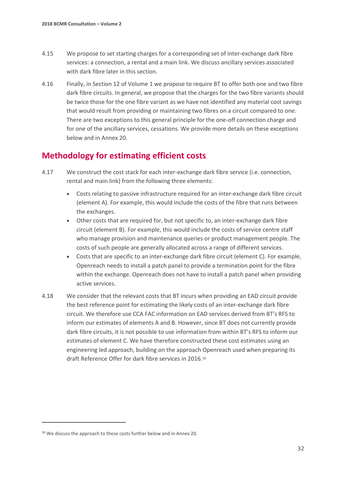- 4.15 We propose to set starting charges for a corresponding set of inter-exchange dark fibre services: a connection, a rental and a main link. We discuss ancillary services associated with dark fibre later in this section.
- 4.16 Finally, in Section 12 of Volume 1 we propose to require BT to offer both one and two fibre dark fibre circuits. In general, we propose that the charges for the two fibre variants should be twice those for the one fibre variant as we have not identified any material cost savings that would result from providing or maintaining two fibres on a circuit compared to one. There are two exceptions to this general principle for the one-off connection charge and for one of the ancillary services, cessations. We provide more details on these exceptions below and in Annex 20.

# **Methodology for estimating efficient costs**

- 4.17 We construct the cost stack for each inter-exchange dark fibre service (i.e. connection, rental and main link) from the following three elements:
	- Costs relating to passive infrastructure required for an inter-exchange dark fibre circuit (element A). For example, this would include the costs of the fibre that runs between the exchanges.
	- Other costs that are required for, but not specific to, an inter-exchange dark fibre circuit (element B). For example, this would include the costs of service centre staff who manage provision and maintenance queries or product management people. The costs of such people are generally allocated across a range of different services.
	- Costs that are specific to an inter-exchange dark fibre circuit (element C). For example, Openreach needs to install a patch panel to provide a termination point for the fibre within the exchange. Openreach does not have to install a patch panel when providing active services.
- 4.18 We consider that the relevant costs that BT incurs when providing an EAD circuit provide the best reference point for estimating the likely costs of an inter-exchange dark fibre circuit. We therefore use CCA FAC information on EAD services derived from BT's RFS to inform our estimates of elements A and B. However, since BT does not currently provide dark fibre circuits, it is not possible to use information from within BT's RFS to inform our estimates of element C. We have therefore constructed these cost estimates using an engineering led approach, building on the approach Openreach used when preparing its draft Reference Offer for dark fibre services in 2016.[50](#page-33-0)

<span id="page-33-0"></span><sup>50</sup> We discuss the approach to these costs further below and in Annex 20.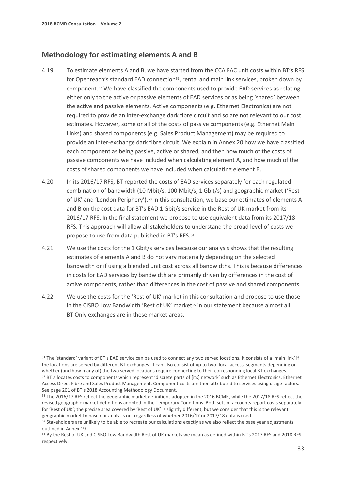$\overline{a}$ 

## **Methodology for estimating elements A and B**

- 4.19 To estimate elements A and B, we have started from the CCA FAC unit costs within BT's RFS for Openreach's standard EAD connection<sup>51</sup>, rental and main link services, broken down by component.[52](#page-34-1) We have classified the components used to provide EAD services as relating either only to the active or passive elements of EAD services or as being 'shared' between the active and passive elements. Active components (e.g. Ethernet Electronics) are not required to provide an inter-exchange dark fibre circuit and so are not relevant to our cost estimates. However, some or all of the costs of passive components (e.g. Ethernet Main Links) and shared components (e.g. Sales Product Management) may be required to provide an inter-exchange dark fibre circuit. We explain in Annex 20 how we have classified each component as being passive, active or shared, and then how much of the costs of passive components we have included when calculating element A, and how much of the costs of shared components we have included when calculating element B.
- 4.20 In its 2016/17 RFS, BT reported the costs of EAD services separately for each regulated combination of bandwidth (10 Mbit/s, 100 Mbit/s, 1 Gbit/s) and geographic market ('Rest of UK' and 'London Periphery').[53](#page-34-2) In this consultation, we base our estimates of elements A and B on the cost data for BT's EAD 1 Gbit/s service in the Rest of UK market from its 2016/17 RFS. In the final statement we propose to use equivalent data from its 2017/18 RFS. This approach will allow all stakeholders to understand the broad level of costs we propose to use from data published in BT's RFS.[54](#page-34-3)
- 4.21 We use the costs for the 1 Gbit/s services because our analysis shows that the resulting estimates of elements A and B do not vary materially depending on the selected bandwidth or if using a blended unit cost across all bandwidths. This is because differences in costs for EAD services by bandwidth are primarily driven by differences in the cost of active components, rather than differences in the cost of passive and shared components.
- 4.22 We use the costs for the 'Rest of UK' market in this consultation and propose to use those in the CISBO Low Bandwidth 'Rest of UK' market<sup>[55](#page-34-4)</sup> in our statement because almost all BT Only exchanges are in these market areas.

<span id="page-34-1"></span><span id="page-34-0"></span><sup>51</sup> The 'standard' variant of BT's EAD service can be used to connect any two served locations. It consists of a 'main link' if the locations are served by different BT exchanges. It can also consist of up to two 'local access' segments depending on whether (and how many of) the two served locations require connecting to their corresponding local BT exchanges. <sup>52</sup> BT allocates costs to components which represent 'discrete parts of [its] network' such as Ethernet Electronics, Ethernet Access Direct Fibre and Sales Product Management. Component costs are then attributed to services using usage factors. See page 201 of BT's 2018 Accounting Methodology Document.

<span id="page-34-2"></span><sup>53</sup> The 2016/17 RFS reflect the geographic market definitions adopted in the 2016 BCMR, while the 2017/18 RFS reflect the revised geographic market definitions adopted in the Temporary Conditions. Both sets of accounts report costs separately for 'Rest of UK'; the precise area covered by 'Rest of UK' is slightly different, but we consider that this is the relevant geographic market to base our analysis on, regardless of whether 2016/17 or 2017/18 data is used.<br><sup>54</sup> Stakeholders are unlikely to be able to recreate our calculations exactly as we also reflect the base year adjustments

<span id="page-34-3"></span>outlined in Annex 19.

<span id="page-34-4"></span><sup>55</sup> By the Rest of UK and CISBO Low Bandwidth Rest of UK markets we mean as defined within BT's 2017 RFS and 2018 RFS respectively.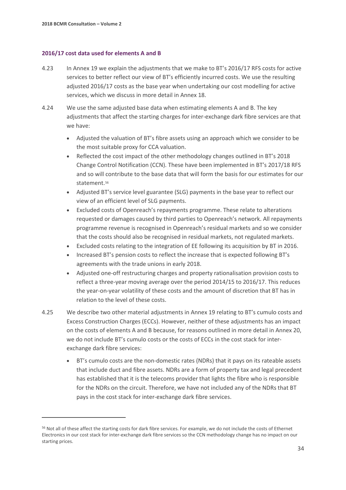$\overline{a}$ 

#### **2016/17 cost data used for elements A and B**

- 4.23 In Annex 19 we explain the adjustments that we make to BT's 2016/17 RFS costs for active services to better reflect our view of BT's efficiently incurred costs. We use the resulting adjusted 2016/17 costs as the base year when undertaking our cost modelling for active services, which we discuss in more detail in Annex 18.
- 4.24 We use the same adjusted base data when estimating elements A and B. The key adjustments that affect the starting charges for inter-exchange dark fibre services are that we have:
	- Adjusted the valuation of BT's fibre assets using an approach which we consider to be the most suitable proxy for CCA valuation.
	- Reflected the cost impact of the other methodology changes outlined in BT's 2018 Change Control Notification (CCN). These have been implemented in BT's 2017/18 RFS and so will contribute to the base data that will form the basis for our estimates for our statement.<sup>[56](#page-35-0)</sup>
	- Adjusted BT's service level guarantee (SLG) payments in the base year to reflect our view of an efficient level of SLG payments.
	- Excluded costs of Openreach's repayments programme. These relate to alterations requested or damages caused by third parties to Openreach's network. All repayments programme revenue is recognised in Openreach's residual markets and so we consider that the costs should also be recognised in residual markets, not regulated markets.
	- Excluded costs relating to the integration of EE following its acquisition by BT in 2016.
	- Increased BT's pension costs to reflect the increase that is expected following BT's agreements with the trade unions in early 2018.
	- Adjusted one-off restructuring charges and property rationalisation provision costs to reflect a three-year moving average over the period 2014/15 to 2016/17. This reduces the year-on-year volatility of these costs and the amount of discretion that BT has in relation to the level of these costs.
- 4.25 We describe two other material adjustments in Annex 19 relating to BT's cumulo costs and Excess Construction Charges (ECCs). However, neither of these adjustments has an impact on the costs of elements A and B because, for reasons outlined in more detail in Annex 20, we do not include BT's cumulo costs or the costs of ECCs in the cost stack for interexchange dark fibre services:
	- BT's cumulo costs are the non-domestic rates (NDRs) that it pays on its rateable assets that include duct and fibre assets. NDRs are a form of property tax and legal precedent has established that it is the telecoms provider that lights the fibre who is responsible for the NDRs on the circuit. Therefore, we have not included any of the NDRs that BT pays in the cost stack for inter-exchange dark fibre services.

<span id="page-35-0"></span><sup>56</sup> Not all of these affect the starting costs for dark fibre services. For example, we do not include the costs of Ethernet Electronics in our cost stack for inter-exchange dark fibre services so the CCN methodology change has no impact on our starting prices.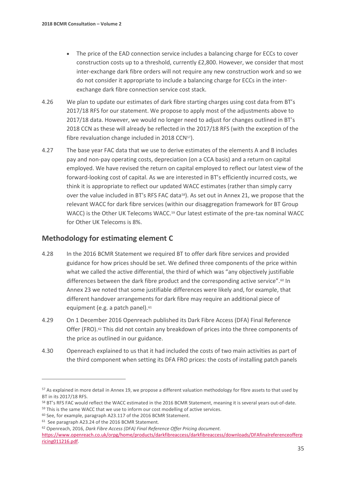- The price of the EAD connection service includes a balancing charge for ECCs to cover construction costs up to a threshold, currently £2,800. However, we consider that most inter-exchange dark fibre orders will not require any new construction work and so we do not consider it appropriate to include a balancing charge for ECCs in the interexchange dark fibre connection service cost stack.
- 4.26 We plan to update our estimates of dark fibre starting charges using cost data from BT's 2017/18 RFS for our statement. We propose to apply most of the adjustments above to 2017/18 data. However, we would no longer need to adjust for changes outlined in BT's 2018 CCN as these will already be reflected in the 2017/18 RFS (with the exception of the fibre revaluation change included in 2018 CCN<sup>57</sup>).
- 4.27 The base year FAC data that we use to derive estimates of the elements A and B includes pay and non-pay operating costs, depreciation (on a CCA basis) and a return on capital employed. We have revised the return on capital employed to reflect our latest view of the forward-looking cost of capital. As we are interested in BT's efficiently incurred costs, we think it is appropriate to reflect our updated WACC estimates (rather than simply carry over the value included in BT's RFS FAC data<sup>[58](#page-36-1)</sup>). As set out in Annex 21, we propose that the relevant WACC for dark fibre services (within our disaggregation framework for BT Group WACC) is the Other UK Telecoms WACC.<sup>[59](#page-36-2)</sup> Our latest estimate of the pre-tax nominal WACC for Other UK Telecoms is 8%.

## **Methodology for estimating element C**

- 4.28 In the 2016 BCMR Statement we required BT to offer dark fibre services and provided guidance for how prices should be set. We defined three components of the price within what we called the active differential, the third of which was "any objectively justifiable differences between the dark fibre product and the corresponding active service".<sup>[60](#page-36-3)</sup> In Annex 23 we noted that some justifiable differences were likely and, for example, that different handover arrangements for dark fibre may require an additional piece of equipment (e.g. a patch panel).<sup>[61](#page-36-4)</sup>
- 4.29 On 1 December 2016 Openreach published its Dark Fibre Access (DFA) Final Reference Offer (FRO).<sup>[62](#page-36-5)</sup> This did not contain any breakdown of prices into the three components of the price as outlined in our guidance.
- 4.30 Openreach explained to us that it had included the costs of two main activities as part of the third component when setting its DFA FRO prices: the costs of installing patch panels

<span id="page-36-0"></span><sup>&</sup>lt;sup>57</sup> As explained in more detail in Annex 19, we propose a different valuation methodology for fibre assets to that used by BT in its 2017/18 RFS.

<span id="page-36-1"></span><sup>&</sup>lt;sup>58</sup> BT's RFS FAC would reflect the WACC estimated in the 2016 BCMR Statement, meaning it is several years out-of-date.<br><sup>59</sup> This is the same WACC that we use to inform our cost modelling of active services.

<span id="page-36-2"></span>

<span id="page-36-3"></span><sup>60</sup> See, for example, paragraph A23.117 of the 2016 BCMR Statement.

<span id="page-36-4"></span><sup>61</sup> See paragraph A23.24 of the 2016 BCMR Statement.

<span id="page-36-5"></span><sup>62</sup> Openreach, 2016, *Dark Fibre Access (DFA) Final Reference Offer Pricing document.*

[https://www.openreach.co.uk/orpg/home/products/darkfibreaccess/darkfibreaccess/downloads/DFAfinalreferenceofferp](https://www.openreach.co.uk/orpg/home/products/darkfibreaccess/darkfibreaccess/downloads/DFAfinalreferenceofferpricing011216.pdf) [ricing011216.pdf.](https://www.openreach.co.uk/orpg/home/products/darkfibreaccess/darkfibreaccess/downloads/DFAfinalreferenceofferpricing011216.pdf)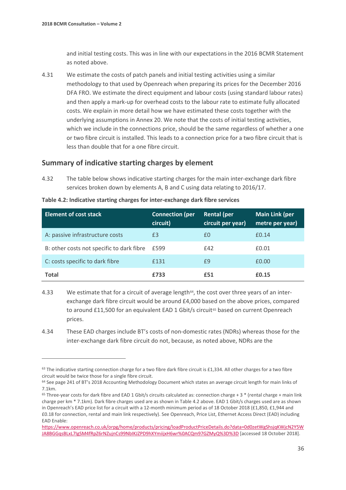$\overline{a}$ 

and initial testing costs. This was in line with our expectations in the 2016 BCMR Statement as noted above.

4.31 We estimate the costs of patch panels and initial testing activities using a similar methodology to that used by Openreach when preparing its prices for the December 2016 DFA FRO. We estimate the direct equipment and labour costs (using standard labour rates) and then apply a mark-up for overhead costs to the labour rate to estimate fully allocated costs. We explain in more detail how we have estimated these costs together with the underlying assumptions in Annex 20. We note that the costs of initial testing activities, which we include in the connections price, should be the same regardless of whether a one or two fibre circuit is installed. This leads to a connection price for a two fibre circuit that is less than double that for a one fibre circuit.

## **Summary of indicative starting charges by element**

4.32 The table below shows indicative starting charges for the main inter-exchange dark fibre services broken down by elements A, B and C using data relating to 2016/17.

| <b>Element of cost stack</b>              | <b>Connection (per,</b><br>circuit) | Rental (per<br>circuit per year) | <b>Main Link (per</b><br>metre per year) |
|-------------------------------------------|-------------------------------------|----------------------------------|------------------------------------------|
| A: passive infrastructure costs           | £3                                  | £0                               | £0.14                                    |
| B: other costs not specific to dark fibre | £599                                | £42                              | £0.01                                    |
| C: costs specific to dark fibre           | £131                                | £9                               | £0.00                                    |
| Total                                     | £733                                | £51                              | £0.15                                    |

**Table 4.2: Indicative starting charges for inter-exchange dark fibre services[63](#page-37-0)**

4.33 We estimate that for a circuit of average length $64$ , the cost over three years of an interexchange dark fibre circuit would be around £4,000 based on the above prices, compared to around £11,500 for an equivalent EAD 1 Gbit/s circuit<sup>[65](#page-37-2)</sup> based on current Openreach prices.

4.34 These EAD charges include BT's costs of non-domestic rates (NDRs) whereas those for the inter-exchange dark fibre circuit do not, because, as noted above, NDRs are the

<span id="page-37-0"></span><sup>&</sup>lt;sup>63</sup> The indicative starting connection charge for a two fibre dark fibre circuit is £1,334. All other charges for a two fibre circuit would be twice those for a single fibre circuit.

<span id="page-37-1"></span><sup>64</sup> See page 241 of BT's 2018 Accounting Methodology Document which states an average circuit length for main links of 7.1km.

<span id="page-37-2"></span> $65$  Three-year costs for dark fibre and EAD 1 Gbit/s circuits calculated as: connection charge + 3  $*$  (rental charge + main link charge per km \* 7.1km). Dark fibre charges used are as shown in Table 4.2 above. EAD 1 Gbit/s charges used are as shown in Openreach's EAD price list for a circuit with a 12-month minimum period as of 18 October 2018 (£1,850, £1,944 and £0.18 for connection, rental and main link respectively). See Openreach, Price List, Ethernet Access Direct (EAD) including EAD Enable:

[https://www.openreach.co.uk/orpg/home/products/pricing/loadProductPriceDetails.do?data=0d0zetWgShsjqKWjcN2Y5W](https://www.openreach.co.uk/orpg/home/products/pricing/loadProductPriceDetails.do?data=0d0zetWgShsjqKWjcN2Y5WJA8BGGqsBLxL7IgSM4fRpZ6rNZujnCs99NbIKJZPD9hXYmiijxH6wr%0ACQm97GZMyQ%3D%3D) [JA8BGGqsBLxL7IgSM4fRpZ6rNZujnCs99NbIKJZPD9hXYmiijxH6wr%0ACQm97GZMyQ%3D%3D](https://www.openreach.co.uk/orpg/home/products/pricing/loadProductPriceDetails.do?data=0d0zetWgShsjqKWjcN2Y5WJA8BGGqsBLxL7IgSM4fRpZ6rNZujnCs99NbIKJZPD9hXYmiijxH6wr%0ACQm97GZMyQ%3D%3D) [accessed 18 October 2018].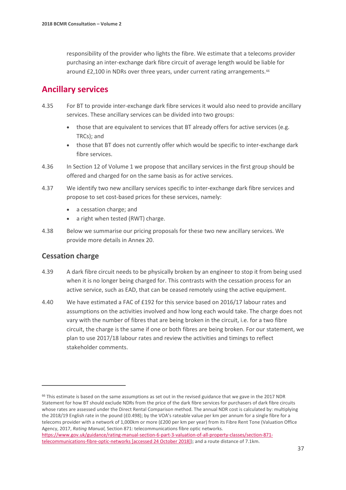responsibility of the provider who lights the fibre. We estimate that a telecoms provider purchasing an inter-exchange dark fibre circuit of average length would be liable for around £2,100 in NDRs over three years, under current rating arrangements.<sup>[66](#page-38-0)</sup>

# **Ancillary services**

- 4.35 For BT to provide inter-exchange dark fibre services it would also need to provide ancillary services. These ancillary services can be divided into two groups:
	- those that are equivalent to services that BT already offers for active services (e.g. TRCs); and
	- those that BT does not currently offer which would be specific to inter-exchange dark fibre services.
- 4.36 In Section 12 of Volume 1 we propose that ancillary services in the first group should be offered and charged for on the same basis as for active services.
- 4.37 We identify two new ancillary services specific to inter-exchange dark fibre services and propose to set cost-based prices for these services, namely:
	- a cessation charge; and
	- a right when tested (RWT) charge.
- 4.38 Below we summarise our pricing proposals for these two new ancillary services. We provide more details in Annex 20.

## **Cessation charge**

- 4.39 A dark fibre circuit needs to be physically broken by an engineer to stop it from being used when it is no longer being charged for. This contrasts with the cessation process for an active service, such as EAD, that can be ceased remotely using the active equipment.
- 4.40 We have estimated a FAC of £192 for this service based on 2016/17 labour rates and assumptions on the activities involved and how long each would take. The charge does not vary with the number of fibres that are being broken in the circuit, i.e. for a two fibre circuit, the charge is the same if one or both fibres are being broken. For our statement, we plan to use 2017/18 labour rates and review the activities and timings to reflect stakeholder comments.

```
https://www.gov.uk/guidance/rating-manual-section-6-part-3-valuation-of-all-property-classes/section-871-
telecommunications-fibre-optic-networks [accessed 24 October 2018]); and a route distance of 7.1km.
```
<span id="page-38-0"></span><sup>&</sup>lt;sup>66</sup> This estimate is based on the same assumptions as set out in the revised guidance that we gave in the 2017 NDR Statement for how BT should exclude NDRs from the price of the dark fibre services for purchasers of dark fibre circuits whose rates are assessed under the Direct Rental Comparison method. The annual NDR cost is calculated by: multiplying the 2018/19 English rate in the pound (£0.498); by the VOA's rateable value per km per annum for a single fibre for a telecoms provider with a network of 1,000km or more (£200 per km per year) from its Fibre Rent Tone (Valuation Office Agency, 2017, *Rating Manual,* Section 871: telecommunications fibre optic networks.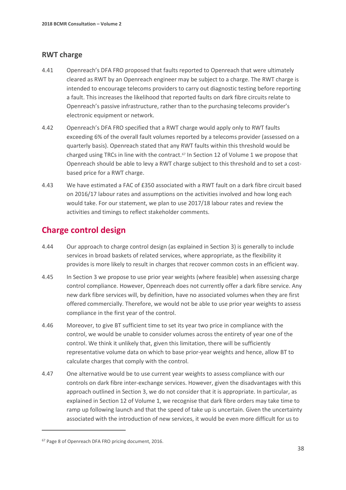## **RWT charge**

- 4.41 Openreach's DFA FRO proposed that faults reported to Openreach that were ultimately cleared as RWT by an Openreach engineer may be subject to a charge. The RWT charge is intended to encourage telecoms providers to carry out diagnostic testing before reporting a fault. This increases the likelihood that reported faults on dark fibre circuits relate to Openreach's passive infrastructure, rather than to the purchasing telecoms provider's electronic equipment or network.
- 4.42 Openreach's DFA FRO specified that a RWT charge would apply only to RWT faults exceeding 6% of the overall fault volumes reported by a telecoms provider (assessed on a quarterly basis). Openreach stated that any RWT faults within this threshold would be charged using TRCs in line with the contract.<sup>[67](#page-39-0)</sup> In Section 12 of Volume 1 we propose that Openreach should be able to levy a RWT charge subject to this threshold and to set a costbased price for a RWT charge.
- 4.43 We have estimated a FAC of £350 associated with a RWT fault on a dark fibre circuit based on 2016/17 labour rates and assumptions on the activities involved and how long each would take. For our statement, we plan to use 2017/18 labour rates and review the activities and timings to reflect stakeholder comments.

# **Charge control design**

- 4.44 Our approach to charge control design (as explained in Section 3) is generally to include services in broad baskets of related services, where appropriate, as the flexibility it provides is more likely to result in charges that recover common costs in an efficient way.
- 4.45 In Section 3 we propose to use prior year weights (where feasible) when assessing charge control compliance. However, Openreach does not currently offer a dark fibre service. Any new dark fibre services will, by definition, have no associated volumes when they are first offered commercially. Therefore, we would not be able to use prior year weights to assess compliance in the first year of the control.
- 4.46 Moreover, to give BT sufficient time to set its year two price in compliance with the control, we would be unable to consider volumes across the entirety of year one of the control. We think it unlikely that, given this limitation, there will be sufficiently representative volume data on which to base prior-year weights and hence, allow BT to calculate charges that comply with the control.
- 4.47 One alternative would be to use current year weights to assess compliance with our controls on dark fibre inter-exchange services. However, given the disadvantages with this approach outlined in Section 3, we do not consider that it is appropriate. In particular, as explained in Section 12 of Volume 1, we recognise that dark fibre orders may take time to ramp up following launch and that the speed of take up is uncertain. Given the uncertainty associated with the introduction of new services, it would be even more difficult for us to

<span id="page-39-0"></span><sup>67</sup> Page 8 of Openreach DFA FRO pricing document, 2016.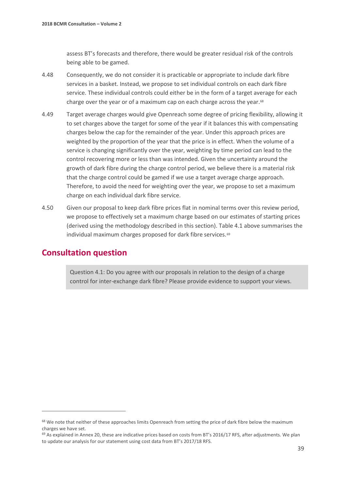assess BT's forecasts and therefore, there would be greater residual risk of the controls being able to be gamed.

- 4.48 Consequently, we do not consider it is practicable or appropriate to include dark fibre services in a basket. Instead, we propose to set individual controls on each dark fibre service. These individual controls could either be in the form of a target average for each charge over the year or of a maximum cap on each charge across the year.<sup>68</sup>
- 4.49 Target average charges would give Openreach some degree of pricing flexibility, allowing it to set charges above the target for some of the year if it balances this with compensating charges below the cap for the remainder of the year. Under this approach prices are weighted by the proportion of the year that the price is in effect. When the volume of a service is changing significantly over the year, weighting by time period can lead to the control recovering more or less than was intended. Given the uncertainty around the growth of dark fibre during the charge control period, we believe there is a material risk that the charge control could be gamed if we use a target average charge approach. Therefore, to avoid the need for weighting over the year, we propose to set a maximum charge on each individual dark fibre service.
- 4.50 Given our proposal to keep dark fibre prices flat in nominal terms over this review period, we propose to effectively set a maximum charge based on our estimates of starting prices (derived using the methodology described in this section). Table 4.1 above summarises the individual maximum charges proposed for dark fibre services.<sup>[69](#page-40-1)</sup>

# **Consultation question**

 $\overline{a}$ 

Question 4.1: Do you agree with our proposals in relation to the design of a charge control for inter-exchange dark fibre? Please provide evidence to support your views.

<span id="page-40-0"></span><sup>&</sup>lt;sup>68</sup> We note that neither of these approaches limits Openreach from setting the price of dark fibre below the maximum charges we have set.

<span id="page-40-1"></span> $69$  As explained in Annex 20, these are indicative prices based on costs from BT's 2016/17 RFS, after adjustments. We plan to update our analysis for our statement using cost data from BT's 2017/18 RFS.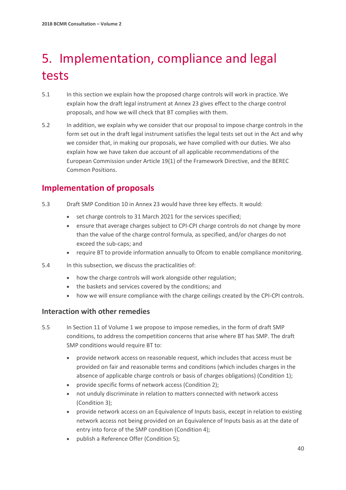# <span id="page-41-0"></span>5. Implementation, compliance and legal tests

- 5.1 In this section we explain how the proposed charge controls will work in practice. We explain how the draft legal instrument at Annex 23 gives effect to the charge control proposals, and how we will check that BT complies with them.
- 5.2 In addition, we explain why we consider that our proposal to impose charge controls in the form set out in the draft legal instrument satisfies the legal tests set out in the Act and why we consider that, in making our proposals, we have complied with our duties. We also explain how we have taken due account of all applicable recommendations of the European Commission under Article 19(1) of the Framework Directive, and the BEREC Common Positions.

# **Implementation of proposals**

- 5.3 Draft SMP Condition 10 in Annex 23 would have three key effects. It would:
	- set charge controls to 31 March 2021 for the services specified;
	- ensure that average charges subject to CPI-CPI charge controls do not change by more than the value of the charge control formula, as specified, and/or charges do not exceed the sub-caps; and
	- require BT to provide information annually to Ofcom to enable compliance monitoring.
- 5.4 In this subsection, we discuss the practicalities of:
	- how the charge controls will work alongside other regulation;
	- the baskets and services covered by the conditions; and
	- how we will ensure compliance with the charge ceilings created by the CPI-CPI controls.

## **Interaction with other remedies**

- 5.5 In Section 11 of Volume 1 we propose to impose remedies, in the form of draft SMP conditions, to address the competition concerns that arise where BT has SMP. The draft SMP conditions would require BT to:
	- provide network access on reasonable request, which includes that access must be provided on fair and reasonable terms and conditions (which includes charges in the absence of applicable charge controls or basis of charges obligations) (Condition 1);
	- provide specific forms of network access (Condition 2);
	- not unduly discriminate in relation to matters connected with network access (Condition 3);
	- provide network access on an Equivalence of Inputs basis, except in relation to existing network access not being provided on an Equivalence of Inputs basis as at the date of entry into force of the SMP condition (Condition 4);
	- publish a Reference Offer (Condition 5);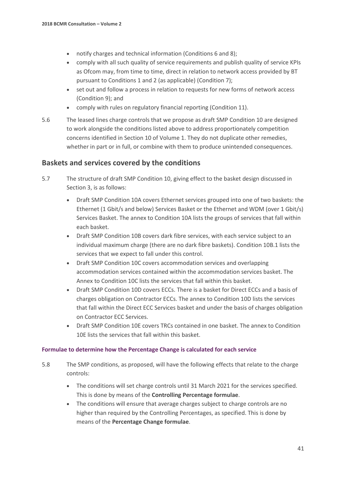- notify charges and technical information (Conditions 6 and 8);
- comply with all such quality of service requirements and publish quality of service KPIs as Ofcom may, from time to time, direct in relation to network access provided by BT pursuant to Conditions 1 and 2 (as applicable) (Condition 7);
- set out and follow a process in relation to requests for new forms of network access (Condition 9); and
- comply with rules on regulatory financial reporting (Condition 11).
- 5.6 The leased lines charge controls that we propose as draft SMP Condition 10 are designed to work alongside the conditions listed above to address proportionately competition concerns identified in Section 10 of Volume 1. They do not duplicate other remedies, whether in part or in full, or combine with them to produce unintended consequences.

## **Baskets and services covered by the conditions**

- 5.7 The structure of draft SMP Condition 10, giving effect to the basket design discussed in Section 3, is as follows:
	- Draft SMP Condition 10A covers Ethernet services grouped into one of two baskets: the Ethernet (1 Gbit/s and below) Services Basket or the Ethernet and WDM (over 1 Gbit/s) Services Basket. The annex to Condition 10A lists the groups of services that fall within each basket.
	- Draft SMP Condition 10B covers dark fibre services, with each service subject to an individual maximum charge (there are no dark fibre baskets). Condition 10B.1 lists the services that we expect to fall under this control.
	- Draft SMP Condition 10C covers accommodation services and overlapping accommodation services contained within the accommodation services basket. The Annex to Condition 10C lists the services that fall within this basket.
	- Draft SMP Condition 10D covers ECCs. There is a basket for Direct ECCs and a basis of charges obligation on Contractor ECCs. The annex to Condition 10D lists the services that fall within the Direct ECC Services basket and under the basis of charges obligation on Contractor ECC Services.
	- Draft SMP Condition 10E covers TRCs contained in one basket. The annex to Condition 10E lists the services that fall within this basket.

#### **Formulae to determine how the Percentage Change is calculated for each service**

- 5.8 The SMP conditions, as proposed, will have the following effects that relate to the charge controls:
	- The conditions will set charge controls until 31 March 2021 for the services specified. This is done by means of the **Controlling Percentage formulae**.
	- The conditions will ensure that average charges subject to charge controls are no higher than required by the Controlling Percentages, as specified. This is done by means of the **Percentage Change formulae**.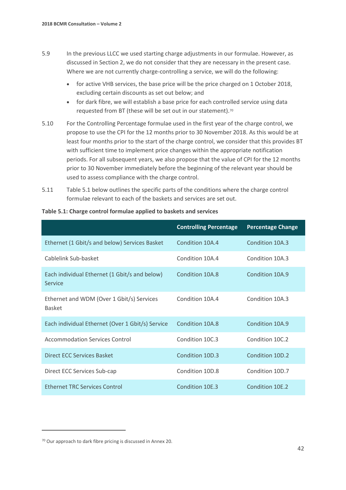- 5.9 In the previous LLCC we used starting charge adjustments in our formulae. However, as discussed in Section 2, we do not consider that they are necessary in the present case. Where we are not currently charge-controlling a service, we will do the following:
	- for active VHB services, the base price will be the price charged on 1 October 2018, excluding certain discounts as set out below; and
	- for dark fibre, we will establish a base price for each controlled service using data requested from BT (these will be set out in our statement).<sup>[70](#page-43-0)</sup>
- 5.10 For the Controlling Percentage formulae used in the first year of the charge control, we propose to use the CPI for the 12 months prior to 30 November 2018. As this would be at least four months prior to the start of the charge control, we consider that this provides BT with sufficient time to implement price changes within the appropriate notification periods. For all subsequent years, we also propose that the value of CPI for the 12 months prior to 30 November immediately before the beginning of the relevant year should be used to assess compliance with the charge control.
- 5.11 Table 5.1 below outlines the specific parts of the conditions where the charge control formulae relevant to each of the baskets and services are set out.

|                                                            | <b>Controlling Percentage</b> | <b>Percentage Change</b> |
|------------------------------------------------------------|-------------------------------|--------------------------|
| Ethernet (1 Gbit/s and below) Services Basket              | Condition 10A.4               | Condition 10A.3          |
| Cablelink Sub-basket                                       | Condition 10A.4               | Condition 10A.3          |
| Each individual Ethernet (1 Gbit/s and below)<br>Service   | Condition 10A.8               | Condition 10A.9          |
| Ethernet and WDM (Over 1 Gbit/s) Services<br><b>Basket</b> | Condition 10A.4               | Condition 10A.3          |
| Each individual Ethernet (Over 1 Gbit/s) Service           | Condition 10A.8               | Condition 10A.9          |
| <b>Accommodation Services Control</b>                      | Condition 10C.3               | Condition 10C.2          |
| Direct ECC Services Basket                                 | Condition 10D.3               | Condition 10D.2          |
| Direct ECC Services Sub-cap                                | Condition 10D.8               | Condition 10D.7          |
| <b>Ethernet TRC Services Control</b>                       | Condition 10E.3               | Condition 10E.2          |

#### **Table 5.1: Charge control formulae applied to baskets and services**

<span id="page-43-0"></span><sup>70</sup> Our approach to dark fibre pricing is discussed in Annex 20.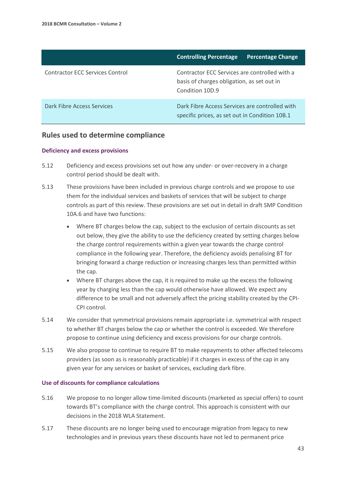|                                        | <b>Controlling Percentage</b><br><b>Percentage Change</b>                                                      |  |
|----------------------------------------|----------------------------------------------------------------------------------------------------------------|--|
| <b>Contractor ECC Services Control</b> | Contractor ECC Services are controlled with a<br>basis of charges obligation, as set out in<br>Condition 10D.9 |  |
| Dark Fibre Access Services             | Dark Fibre Access Services are controlled with<br>specific prices, as set out in Condition 10B.1               |  |

#### **Rules used to determine compliance**

#### **Deficiency and excess provisions**

- 5.12 Deficiency and excess provisions set out how any under- or over-recovery in a charge control period should be dealt with.
- 5.13 These provisions have been included in previous charge controls and we propose to use them for the individual services and baskets of services that will be subject to charge controls as part of this review. These provisions are set out in detail in draft SMP Condition 10A.6 and have two functions:
	- Where BT charges below the cap, subject to the exclusion of certain discounts as set out below, they give the ability to use the deficiency created by setting charges below the charge control requirements within a given year towards the charge control compliance in the following year. Therefore, the deficiency avoids penalising BT for bringing forward a charge reduction or increasing charges less than permitted within the cap.
	- Where BT charges above the cap, it is required to make up the excess the following year by charging less than the cap would otherwise have allowed. We expect any difference to be small and not adversely affect the pricing stability created by the CPI-CPI control.
- 5.14 We consider that symmetrical provisions remain appropriate i.e. symmetrical with respect to whether BT charges below the cap or whether the control is exceeded. We therefore propose to continue using deficiency and excess provisions for our charge controls.
- 5.15 We also propose to continue to require BT to make repayments to other affected telecoms providers (as soon as is reasonably practicable) if it charges in excess of the cap in any given year for any services or basket of services, excluding dark fibre.

#### **Use of discounts for compliance calculations**

- 5.16 We propose to no longer allow time-limited discounts (marketed as special offers) to count towards BT's compliance with the charge control. This approach is consistent with our decisions in the 2018 WLA Statement.
- 5.17 These discounts are no longer being used to encourage migration from legacy to new technologies and in previous years these discounts have not led to permanent price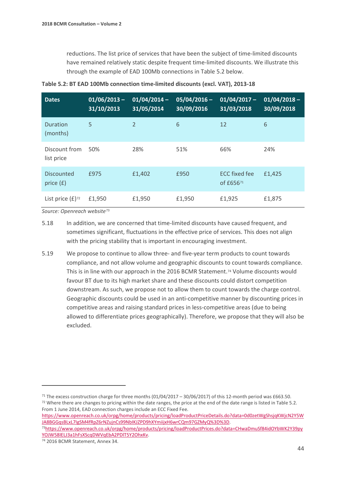reductions. The list price of services that have been the subject of time-limited discounts have remained relatively static despite frequent time-limited discounts. We illustrate this through the example of EAD 100Mb connections in Table 5.2 below.

| <b>Dates</b>                     | $01/06/2013 -$<br>31/10/2013 | $01/04/2014 -$<br>$\overline{31/05/2014}$ | $05/04/2016 -$<br>30/09/2016 | $01/04/2017 -$<br>31/03/2018      | $01/04/2018 -$<br>30/09/2018 |
|----------------------------------|------------------------------|-------------------------------------------|------------------------------|-----------------------------------|------------------------------|
| Duration<br>(months)             | 5                            | $\overline{2}$                            | 6                            | 12                                | 6                            |
| Discount from<br>list price      | 50%                          | 28%                                       | 51%                          | 66%                               | 24%                          |
| <b>Discounted</b><br>price $(f)$ | £975                         | £1,402                                    | £950                         | <b>ECC fixed fee</b><br>of £65671 | £1,425                       |
| List price $(E)$ <sup>72</sup>   | £1,950                       | £1,950                                    | £1,950                       | £1,925                            | £1,875                       |

**Table 5.2: BT EAD 100Mb connection time-limited discounts (excl. VAT), 2013-18**

*Source: Openreach website*[73](#page-45-2)

- 5.18 In addition, we are concerned that time-limited discounts have caused frequent, and sometimes significant, fluctuations in the effective price of services. This does not align with the pricing stability that is important in encouraging investment.
- 5.19 We propose to continue to allow three- and five-year term products to count towards compliance, and not allow volume and geographic discounts to count towards compliance. This is in line with our approach in the 2016 BCMR Statement.[74](#page-45-3) Volume discounts would favour BT due to its high market share and these discounts could distort competition downstream. As such, we propose not to allow them to count towards the charge control. Geographic discounts could be used in an anti-competitive manner by discounting prices in competitive areas and raising standard prices in less-competitive areas (due to being allowed to differentiate prices geographically). Therefore, we propose that they will also be excluded.

[https://www.openreach.co.uk/orpg/home/products/pricing/loadProductPriceDetails.do?data=0d0zetWgShsjqKWjcN2Y5W](https://www.openreach.co.uk/orpg/home/products/pricing/loadProductPriceDetails.do?data=0d0zetWgShsjqKWjcN2Y5WJA8BGGqsBLxL7IgSM4fRpZ6rNZujnCs99NbIKJZPD9hXYmiijxH6wrCQm97GZMyQ%3D%3D)

<span id="page-45-1"></span><span id="page-45-0"></span><sup>&</sup>lt;sup>71</sup> The excess construction charge for three months (01/04/2017 – 30/06/2017) of this 12-month period was £663.50.<br><sup>72</sup> Where there are changes to pricing within the date ranges, the price at the end of the date range is From 1 June 2014, EAD connection charges include an ECC Fixed Fee.

<span id="page-45-2"></span>[JA8BGGqsBLxL7IgSM4fRpZ6rNZujnCs99NbIKJZPD9hXYmiijxH6wrCQm97GZMyQ%3D%3D.](https://www.openreach.co.uk/orpg/home/products/pricing/loadProductPriceDetails.do?data=0d0zetWgShsjqKWjcN2Y5WJA8BGGqsBLxL7IgSM4fRpZ6rNZujnCs99NbIKJZPD9hXYmiijxH6wrCQm97GZMyQ%3D%3D) 7[3https://www.openreach.co.uk/orpg/home/products/pricing/loadProductPrices.do?data=CHwaDmuSf84idOYbWK2Y39py](https://www.openreach.co.uk/orpg/home/products/pricing/loadProductPrices.do?data=CHwaDmuSf84idOYbWK2Y39pyYOJW58IELJ3a1hFsXScqDWVqEbA2PDlT5Y2OhxKv) [YOJW58IELJ3a1hFsXScqDWVqEbA2PDlT5Y2OhxKv.](https://www.openreach.co.uk/orpg/home/products/pricing/loadProductPrices.do?data=CHwaDmuSf84idOYbWK2Y39pyYOJW58IELJ3a1hFsXScqDWVqEbA2PDlT5Y2OhxKv) 74 2016 BCMR Statement, Annex 34.

<span id="page-45-3"></span>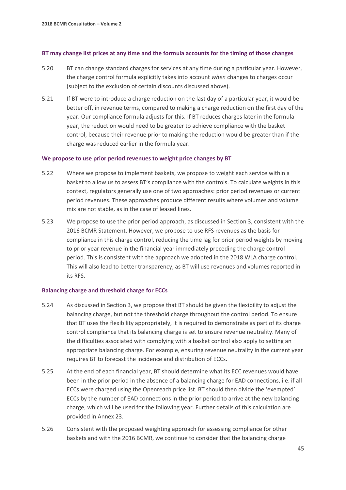#### **BT may change list prices at any time and the formula accounts for the timing of those changes**

- 5.20 BT can change standard charges for services at any time during a particular year. However, the charge control formula explicitly takes into account *when* changes to charges occur (subject to the exclusion of certain discounts discussed above).
- 5.21 If BT were to introduce a charge reduction on the last day of a particular year, it would be better off, in revenue terms, compared to making a charge reduction on the first day of the year. Our compliance formula adjusts for this. If BT reduces charges later in the formula year, the reduction would need to be greater to achieve compliance with the basket control, because their revenue prior to making the reduction would be greater than if the charge was reduced earlier in the formula year.

#### **We propose to use prior period revenues to weight price changes by BT**

- 5.22 Where we propose to implement baskets, we propose to weight each service within a basket to allow us to assess BT's compliance with the controls. To calculate weights in this context, regulators generally use one of two approaches: prior period revenues or current period revenues. These approaches produce different results where volumes and volume mix are not stable, as in the case of leased lines.
- 5.23 We propose to use the prior period approach, as discussed in Section 3, consistent with the 2016 BCMR Statement. However, we propose to use RFS revenues as the basis for compliance in this charge control, reducing the time lag for prior period weights by moving to prior year revenue in the financial year immediately preceding the charge control period. This is consistent with the approach we adopted in the 2018 WLA charge control. This will also lead to better transparency, as BT will use revenues and volumes reported in its RFS.

#### **Balancing charge and threshold charge for ECCs**

- 5.24 As discussed in Section 3, we propose that BT should be given the flexibility to adjust the balancing charge, but not the threshold charge throughout the control period. To ensure that BT uses the flexibility appropriately, it is required to demonstrate as part of its charge control compliance that its balancing charge is set to ensure revenue neutrality. Many of the difficulties associated with complying with a basket control also apply to setting an appropriate balancing charge. For example, ensuring revenue neutrality in the current year requires BT to forecast the incidence and distribution of ECCs.
- 5.25 At the end of each financial year, BT should determine what its ECC revenues would have been in the prior period in the absence of a balancing charge for EAD connections, i.e. if all ECCs were charged using the Openreach price list. BT should then divide the 'exempted' ECCs by the number of EAD connections in the prior period to arrive at the new balancing charge, which will be used for the following year. Further details of this calculation are provided in Annex 23.
- 5.26 Consistent with the proposed weighting approach for assessing compliance for other baskets and with the 2016 BCMR, we continue to consider that the balancing charge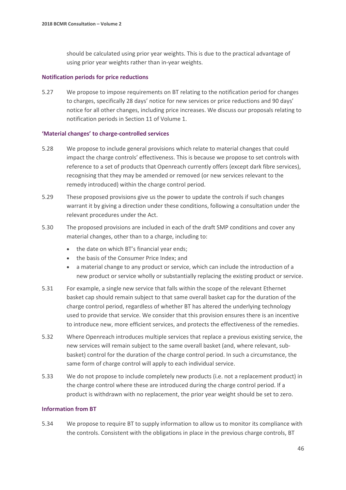should be calculated using prior year weights. This is due to the practical advantage of using prior year weights rather than in-year weights.

#### **Notification periods for price reductions**

5.27 We propose to impose requirements on BT relating to the notification period for changes to charges, specifically 28 days' notice for new services or price reductions and 90 days' notice for all other changes, including price increases. We discuss our proposals relating to notification periods in Section 11 of Volume 1.

#### **'Material changes' to charge-controlled services**

- 5.28 We propose to include general provisions which relate to material changes that could impact the charge controls' effectiveness. This is because we propose to set controls with reference to a set of products that Openreach currently offers (except dark fibre services), recognising that they may be amended or removed (or new services relevant to the remedy introduced) within the charge control period.
- 5.29 These proposed provisions give us the power to update the controls if such changes warrant it by giving a direction under these conditions, following a consultation under the relevant procedures under the Act.
- 5.30 The proposed provisions are included in each of the draft SMP conditions and cover any material changes, other than to a charge, including to:
	- the date on which BT's financial year ends;
	- the basis of the Consumer Price Index; and
	- a material change to any product or service, which can include the introduction of a new product or service wholly or substantially replacing the existing product or service.
- 5.31 For example, a single new service that falls within the scope of the relevant Ethernet basket cap should remain subject to that same overall basket cap for the duration of the charge control period, regardless of whether BT has altered the underlying technology used to provide that service. We consider that this provision ensures there is an incentive to introduce new, more efficient services, and protects the effectiveness of the remedies.
- 5.32 Where Openreach introduces multiple services that replace a previous existing service, the new services will remain subject to the same overall basket (and, where relevant, subbasket) control for the duration of the charge control period. In such a circumstance, the same form of charge control will apply to each individual service.
- 5.33 We do not propose to include completely new products (i.e. not a replacement product) in the charge control where these are introduced during the charge control period. If a product is withdrawn with no replacement, the prior year weight should be set to zero.

#### **Information from BT**

5.34 We propose to require BT to supply information to allow us to monitor its compliance with the controls. Consistent with the obligations in place in the previous charge controls, BT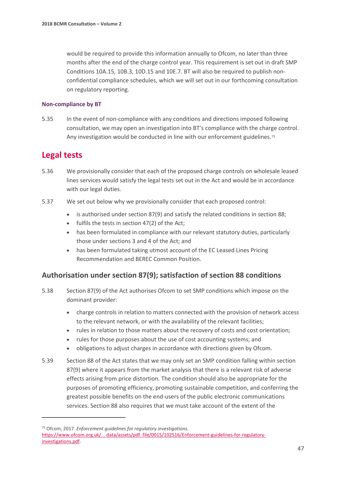would be required to provide this information annually to Ofcom, no later than three months after the end of the charge control year. This requirement is set out in draft SMP Conditions 10A.15, 10B.3, 10D.15 and 10E.7. BT will also be required to publish nonconfidential compliance schedules, which we will set out in our forthcoming consultation on regulatory reporting.

#### **Non-compliance by BT**

5.35 In the event of non-compliance with any conditions and directions imposed following consultation, we may open an investigation into BT's compliance with the charge control. Any investigation would be conducted in line with our enforcement guidelines.<sup>[75](#page-48-0)</sup>

# **Legal tests**

 $\overline{a}$ 

- 5.36 We provisionally consider that each of the proposed charge controls on wholesale leased lines services would satisfy the legal tests set out in the Act and would be in accordance with our legal duties.
- 5.37 We set out below why we provisionally consider that each proposed control:
	- is authorised under section 87(9) and satisfy the related conditions in section 88;
	- fulfils the tests in section 47(2) of the Act;
	- has been formulated in compliance with our relevant statutory duties, particularly those under sections 3 and 4 of the Act; and
	- has been formulated taking utmost account of the EC Leased Lines Pricing Recommendation and BEREC Common Position.

## **Authorisation under section 87(9); satisfaction of section 88 conditions**

- 5.38 Section 87(9) of the Act authorises Ofcom to set SMP conditions which impose on the dominant provider:
	- charge controls in relation to matters connected with the provision of network access to the relevant network, or with the availability of the relevant facilities;
	- rules in relation to those matters about the recovery of costs and cost orientation;
	- rules for those purposes about the use of cost accounting systems; and
	- obligations to adjust charges in accordance with directions given by Ofcom.
- 5.39 Section 88 of the Act states that we may only set an SMP condition falling within section 87(9) where it appears from the market analysis that there is a relevant risk of adverse effects arising from price distortion. The condition should also be appropriate for the purposes of promoting efficiency, promoting sustainable competition, and conferring the greatest possible benefits on the end-users of the public electronic communications services. Section 88 also requires that we must take account of the extent of the

<span id="page-48-0"></span><sup>75</sup> Ofcom, 2017. *Enforcement guidelines for regulatory investigations.*  https://www.ofcom.org.uk/ data/assets/pdf file/0015/102516/Enforcement-guidelines-for-regulatory[investigations.pdf.](https://www.ofcom.org.uk/__data/assets/pdf_file/0015/102516/Enforcement-guidelines-for-regulatory-investigations.pdf)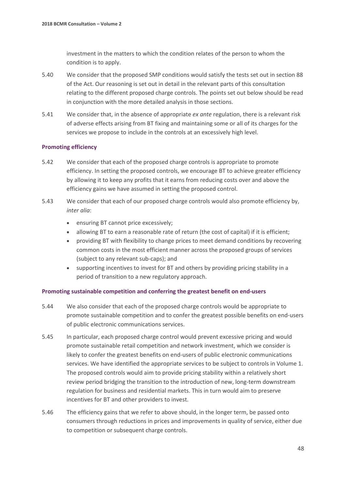investment in the matters to which the condition relates of the person to whom the condition is to apply.

- 5.40 We consider that the proposed SMP conditions would satisfy the tests set out in section 88 of the Act. Our reasoning is set out in detail in the relevant parts of this consultation relating to the different proposed charge controls. The points set out below should be read in conjunction with the more detailed analysis in those sections.
- 5.41 We consider that, in the absence of appropriate *ex ante* regulation, there is a relevant risk of adverse effects arising from BT fixing and maintaining some or all of its charges for the services we propose to include in the controls at an excessively high level.

#### **Promoting efficiency**

- 5.42 We consider that each of the proposed charge controls is appropriate to promote efficiency. In setting the proposed controls, we encourage BT to achieve greater efficiency by allowing it to keep any profits that it earns from reducing costs over and above the efficiency gains we have assumed in setting the proposed control.
- 5.43 We consider that each of our proposed charge controls would also promote efficiency by, *inter alia*:
	- ensuring BT cannot price excessively;
	- allowing BT to earn a reasonable rate of return (the cost of capital) if it is efficient;
	- providing BT with flexibility to change prices to meet demand conditions by recovering common costs in the most efficient manner across the proposed groups of services (subject to any relevant sub-caps); and
	- supporting incentives to invest for BT and others by providing pricing stability in a period of transition to a new regulatory approach.

#### **Promoting sustainable competition and conferring the greatest benefit on end-users**

- 5.44 We also consider that each of the proposed charge controls would be appropriate to promote sustainable competition and to confer the greatest possible benefits on end-users of public electronic communications services.
- 5.45 In particular, each proposed charge control would prevent excessive pricing and would promote sustainable retail competition and network investment, which we consider is likely to confer the greatest benefits on end-users of public electronic communications services. We have identified the appropriate services to be subject to controls in Volume 1. The proposed controls would aim to provide pricing stability within a relatively short review period bridging the transition to the introduction of new, long-term downstream regulation for business and residential markets. This in turn would aim to preserve incentives for BT and other providers to invest.
- 5.46 The efficiency gains that we refer to above should, in the longer term, be passed onto consumers through reductions in prices and improvements in quality of service, either due to competition or subsequent charge controls.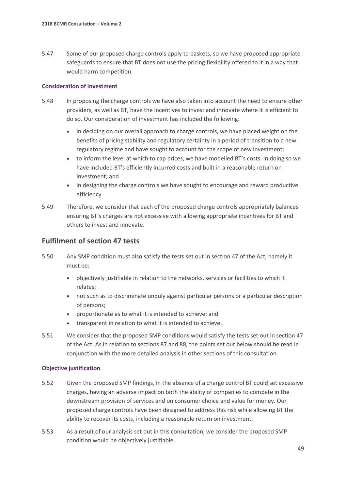5.47 Some of our proposed charge controls apply to baskets, so we have proposed appropriate safeguards to ensure that BT does not use the pricing flexibility offered to it in a way that would harm competition.

#### **Consideration of investment**

- 5.48 In proposing the charge controls we have also taken into account the need to ensure other providers, as well as BT, have the incentives to invest and innovate where it is efficient to do so. Our consideration of investment has included the following:
	- in deciding on our overall approach to charge controls, we have placed weight on the benefits of pricing stability and regulatory certainty in a period of transition to a new regulatory regime and have sought to account for the scope of new investment;
	- to inform the level at which to cap prices, we have modelled BT's costs. In doing so we have included BT's efficiently incurred costs and built in a reasonable return on investment; and
	- in designing the charge controls we have sought to encourage and reward productive efficiency.
- 5.49 Therefore, we consider that each of the proposed charge controls appropriately balances ensuring BT's charges are not excessive with allowing appropriate incentives for BT and others to invest and innovate.

### **Fulfilment of section 47 tests**

- 5.50 Any SMP condition must also satisfy the tests set out in section 47 of the Act, namely it must be:
	- objectively justifiable in relation to the networks, services or facilities to which it relates;
	- not such as to discriminate unduly against particular persons or a particular description of persons;
	- proportionate as to what it is intended to achieve; and
	- transparent in relation to what it is intended to achieve.
- 5.51 We consider that the proposed SMP conditions would satisfy the tests set out in section 47 of the Act. As in relation to sections 87 and 88, the points set out below should be read in conjunction with the more detailed analysis in other sections of this consultation.

#### **Objective justification**

- 5.52 Given the proposed SMP findings, in the absence of a charge control BT could set excessive charges, having an adverse impact on both the ability of companies to compete in the downstream provision of services and on consumer choice and value for money. Our proposed charge controls have been designed to address this risk while allowing BT the ability to recover its costs, including a reasonable return on investment.
- 5.53 As a result of our analysis set out in this consultation, we consider the proposed SMP condition would be objectively justifiable.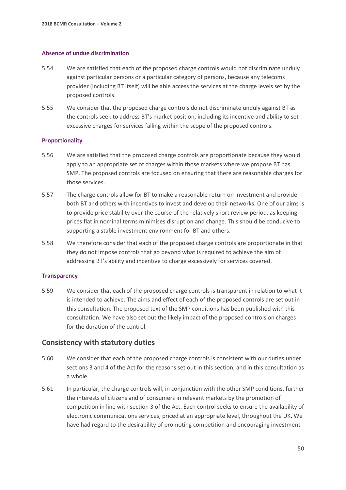#### **Absence of undue discrimination**

- 5.54 We are satisfied that each of the proposed charge controls would not discriminate unduly against particular persons or a particular category of persons, because any telecoms provider (including BT itself) will be able access the services at the charge levels set by the proposed controls.
- 5.55 We consider that the proposed charge controls do not discriminate unduly against BT as the controls seek to address BT's market position, including its incentive and ability to set excessive charges for services falling within the scope of the proposed controls.

#### **Proportionality**

- 5.56 We are satisfied that the proposed charge controls are proportionate because they would apply to an appropriate set of charges within those markets where we propose BT has SMP. The proposed controls are focused on ensuring that there are reasonable charges for those services.
- 5.57 The charge controls allow for BT to make a reasonable return on investment and provide both BT and others with incentives to invest and develop their networks. One of our aims is to provide price stability over the course of the relatively short review period, as keeping prices flat in nominal terms minimises disruption and change. This should be conducive to supporting a stable investment environment for BT and others.
- 5.58 We therefore consider that each of the proposed charge controls are proportionate in that they do not impose controls that go beyond what is required to achieve the aim of addressing BT's ability and incentive to charge excessively for services covered.

#### **Transparency**

5.59 We consider that each of the proposed charge controls is transparent in relation to what it is intended to achieve. The aims and effect of each of the proposed controls are set out in this consultation. The proposed text of the SMP conditions has been published with this consultation. We have also set out the likely impact of the proposed controls on charges for the duration of the control.

### **Consistency with statutory duties**

- 5.60 We consider that each of the proposed charge controls is consistent with our duties under sections 3 and 4 of the Act for the reasons set out in this section, and in this consultation as a whole.
- 5.61 In particular, the charge controls will, in conjunction with the other SMP conditions, further the interests of citizens and of consumers in relevant markets by the promotion of competition in line with section 3 of the Act. Each control seeks to ensure the availability of electronic communications services, priced at an appropriate level, throughout the UK. We have had regard to the desirability of promoting competition and encouraging investment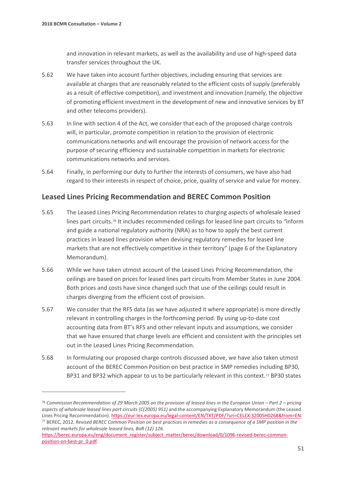$\overline{a}$ 

and innovation in relevant markets, as well as the availability and use of high-speed data transfer services throughout the UK.

- 5.62 We have taken into account further objectives, including ensuring that services are available at charges that are reasonably related to the efficient costs of supply (preferably as a result of effective competition), and investment and innovation (namely, the objective of promoting efficient investment in the development of new and innovative services by BT and other telecoms providers).
- 5.63 In line with section 4 of the Act, we consider that each of the proposed charge controls will, in particular, promote competition in relation to the provision of electronic communications networks and will encourage the provision of network access for the purpose of securing efficiency and sustainable competition in markets for electronic communications networks and services.
- 5.64 Finally, in performing our duty to further the interests of consumers, we have also had regard to their interests in respect of choice, price, quality of service and value for money.

## **Leased Lines Pricing Recommendation and BEREC Common Position**

- 5.65 The Leased Lines Pricing Recommendation relates to charging aspects of wholesale leased lines part circuits.[76](#page-52-0) It includes recommended ceilings for leased line part circuits to *"*inform and guide a national regulatory authority (NRA) as to how to apply the best current practices in leased lines provision when devising regulatory remedies for leased line markets that are not effectively competitive in their territory" (page 6 of the Explanatory Memorandum).
- 5.66 While we have taken utmost account of the Leased Lines Pricing Recommendation, the ceilings are based on prices for leased lines part circuits from Member States in June 2004. Both prices and costs have since changed such that use of the ceilings could result in charges diverging from the efficient cost of provision.
- 5.67 We consider that the RFS data (as we have adjusted it where appropriate) is more directly relevant in controlling charges in the forthcoming period. By using up-to-date cost accounting data from BT's RFS and other relevant inputs and assumptions, we consider that we have ensured that charge levels are efficient and consistent with the principles set out in the Leased Lines Pricing Recommendation.
- 5.68 In formulating our proposed charge controls discussed above, we have also taken utmost account of the BEREC Common Position on best practice in SMP remedies including BP30, BP31 and BP32 which appear to us to be particularly relevant in this context.<sup>[77](#page-52-1)</sup> BP30 states

<span id="page-52-0"></span><sup>76</sup> *Commission Recommendation of 29 March 2005 on the provision of leased lines in the European Union – Part 2 – pricing aspects of wholesale leased lines part circuits (C(2005) 951)* and the accompanying Explanatory Memorandum (the Leased Lines Pricing Recommendation)[. https://eur-lex.europa.eu/legal-content/EN/TXT/PDF/?uri=CELEX:32005H0268&from=EN.](https://eur-lex.europa.eu/legal-content/EN/TXT/PDF/?uri=CELEX:32005H0268&from=EN) <sup>77</sup> BEREC, 2012. *Revised BEREC Common Position on best practices in remedies as a consequence of a SMP position in the relevant markets for wholesale leased lines, BoR (12) 126.* 

<span id="page-52-1"></span>[https://berec.europa.eu/eng/document\\_register/subject\\_matter/berec/download/0/1096-revised-berec-common](https://berec.europa.eu/eng/document_register/subject_matter/berec/download/0/1096-revised-berec-common-position-on-best-pr_0.pdf)[position-on-best-pr\\_0.pdf.](https://berec.europa.eu/eng/document_register/subject_matter/berec/download/0/1096-revised-berec-common-position-on-best-pr_0.pdf)